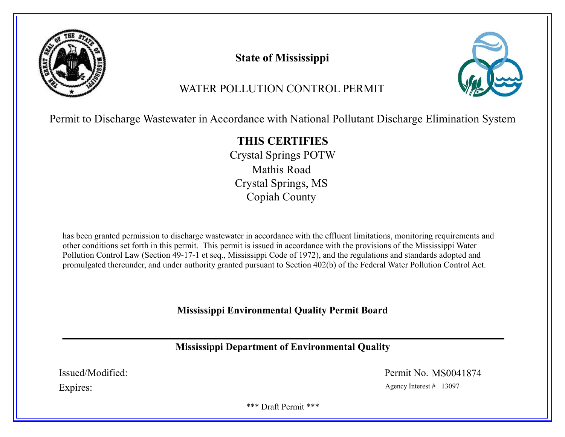

# State of Mississippi



# WATER POLLUTION CONTROL PERMIT

Permit to Discharge Wastewater in Accordance with National Pollutant Discharge Elimination System

# THIS CERTIFIES

Crystal Springs POTW Mathis Road Crystal Springs, MS Copiah County

has been granted permission to discharge wastewater in accordance with the effluent limitations, monitoring requirements and other conditions set forth in this permit. This permit is issued in accordance with the provisions of the Mississippi Water Pollution Control Law (Section 49-17-1 et seq., Mississippi Code of 1972), and the regulations and standards adopted and promulgated thereunder, and under authority granted pursuant to Section 402(b) of the Federal Water Pollution Control Act.

# Mississippi Environmental Quality Permit Board

# Mississippi Department of Environmental Quality

Issued/Modified: Permit No. MS0041874

Expires: Agency Interest # 13097

\*\*\* Draft Permit \*\*\*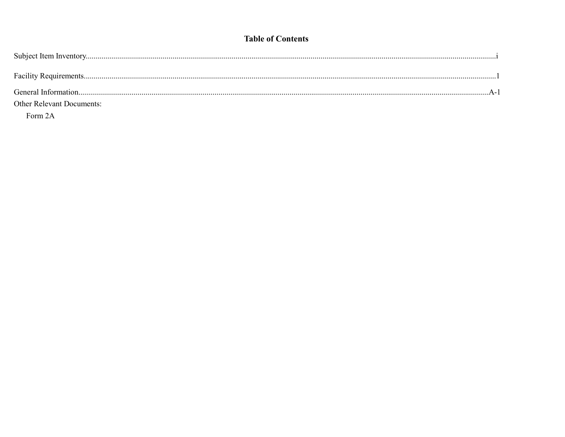### **Table of Contents**

| <b>Other Relevant Documents:</b> |  |
|----------------------------------|--|
|                                  |  |

Form 2A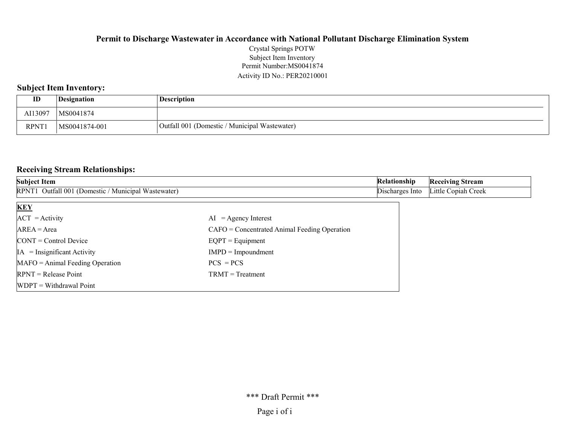#### Permit Number:MS0041874 Activity ID No.: PER20210001 Crystal Springs POTW Subject Item Inventory

### Subject Item Inventory:

| ID           | Designation   | Description                                   |
|--------------|---------------|-----------------------------------------------|
| AI13097      | MS0041874     |                                               |
| <b>RPNT1</b> | MS0041874-001 | Outfall 001 (Domestic / Municipal Wastewater) |

### Receiving Stream Relationships:

| <b>Subject Item</b>                                 |                                                | Relationship    | <b>Receiving Stream</b> |
|-----------------------------------------------------|------------------------------------------------|-----------------|-------------------------|
| RPNT1 Outfall 001 (Domestic / Municipal Wastewater) |                                                | Discharges Into | Little Copiah Creek     |
| <b>KEY</b>                                          |                                                |                 |                         |
| $ACT = Activity$                                    | $AI = Agency Interest$                         |                 |                         |
| $AREA = Area$                                       | $CAFO =$ Concentrated Animal Feeding Operation |                 |                         |
| $\text{CONT} = \text{Control Device}$               | $EQPT =$ Equipment                             |                 |                         |
| $IA = Insignificant Activity$                       | $IMPD = Impoundment$                           |                 |                         |
| $MAFO = Animal Feeding Operation$                   | $PCS = PCs$                                    |                 |                         |
| $RPNT = Release Point$                              | $TRMT = Treatment$                             |                 |                         |
| $[WDPT = Without$ Withdrawal Point                  |                                                |                 |                         |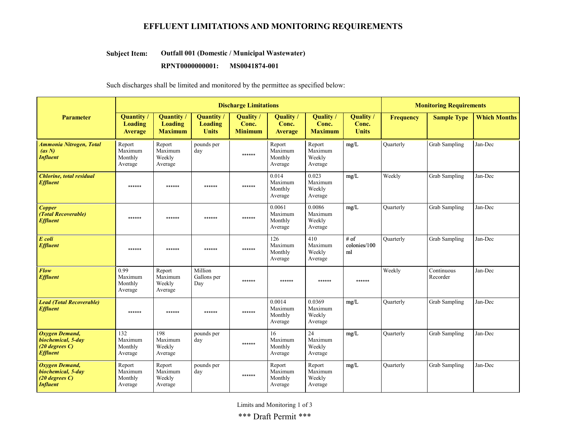### EFFLUENT LIMITATIONS AND MONITORING REQUIREMENTS

#### Outfall 001 (Domestic / Municipal Wastewater) Subject Item:

#### RPNT0000000001: MS0041874-001

Such discharges shall be limited and monitored by the permittee as specified below:

|                                                                                       | <b>Discharge Limitations</b>            |                                                       |                                             |                                      |                                         |                                        |                                    |                  | <b>Monitoring Requirements</b> |                     |  |
|---------------------------------------------------------------------------------------|-----------------------------------------|-------------------------------------------------------|---------------------------------------------|--------------------------------------|-----------------------------------------|----------------------------------------|------------------------------------|------------------|--------------------------------|---------------------|--|
| <b>Parameter</b>                                                                      | Quantity /<br><b>Loading</b><br>Average | <b>Quantity</b> /<br><b>Loading</b><br><b>Maximum</b> | Quantity/<br><b>Loading</b><br><b>Units</b> | Quality /<br>Conc.<br><b>Minimum</b> | Quality /<br>Conc.<br>Average           | Quality<br>Conc.<br><b>Maximum</b>     | Quality /<br>Conc.<br><b>Units</b> | <b>Frequency</b> | <b>Sample Type</b>             | <b>Which Months</b> |  |
| <b>Ammonia Nitrogen, Total</b><br>(as N)<br><b>Influent</b>                           | Report<br>Maximum<br>Monthly<br>Average | Report<br>Maximum<br>Weekly<br>Average                | pounds per<br>day                           | ******                               | Report<br>Maximum<br>Monthly<br>Average | Report<br>Maximum<br>Weekly<br>Average | mg/L                               | Quarterly        | Grab Sampling                  | Jan-Dec             |  |
| <b>Chlorine</b> , total residual<br><b>Effluent</b>                                   | ******                                  | ******                                                | ******                                      | ******                               | 0.014<br>Maximum<br>Monthly<br>Average  | 0.023<br>Maximum<br>Weekly<br>Average  | $mg/L$                             | Weekly           | <b>Grab Sampling</b>           | Jan-Dec             |  |
| <b>Copper</b><br>(Total Recoverable)<br><b>Effluent</b>                               | ******                                  | ******                                                | ******                                      | ******                               | 0.0061<br>Maximum<br>Monthly<br>Average | 0.0086<br>Maximum<br>Weekly<br>Average | mg/L                               | <b>Quarterly</b> | Grab Sampling                  | Jan-Dec             |  |
| E coli<br><b>Effluent</b>                                                             | ******                                  | ******                                                | ******                                      | ******                               | 126<br>Maximum<br>Monthly<br>Average    | 410<br>Maximum<br>Weekly<br>Average    | # of<br>colonies/100<br>ml         | Quarterly        | Grab Sampling                  | Jan-Dec             |  |
| Flow<br><b>Effluent</b>                                                               | 0.99<br>Maximum<br>Monthly<br>Average   | Report<br>Maximum<br>Weekly<br>Average                | Million<br>Gallons per<br>Day               | ******                               | ******                                  | ******                                 | ******                             | Weekly           | Continuous<br>Recorder         | Jan-Dec             |  |
| <b>Lead (Total Recoverable)</b><br><b>Effluent</b>                                    | ******                                  | ******                                                | ******                                      | ******                               | 0.0014<br>Maximum<br>Monthly<br>Average | 0.0369<br>Maximum<br>Weekly<br>Average | mg/L                               | <b>Quarterly</b> | Grab Sampling                  | Jan-Dec             |  |
| <b>Oxygen Demand,</b><br>biochemical, 5-day<br>$(20$ degrees $C$ )<br><b>Effluent</b> | 132<br>Maximum<br>Monthly<br>Average    | 198<br>Maximum<br>Weekly<br>Average                   | pounds per<br>day                           | ******                               | 16<br>Maximum<br>Monthly<br>Average     | 24<br>Maximum<br>Weekly<br>Average     | mg/L                               | <b>Quarterly</b> | Grab Sampling                  | Jan-Dec             |  |
| <b>Oxygen Demand,</b><br>biochemical, 5-day<br>$(20$ degrees C)<br><b>Influent</b>    | Report<br>Maximum<br>Monthly<br>Average | Report<br>Maximum<br>Weekly<br>Average                | pounds per<br>day                           | ******                               | Report<br>Maximum<br>Monthly<br>Average | Report<br>Maximum<br>Weekly<br>Average | mg/L                               | Quarterly        | Grab Sampling                  | Jan-Dec             |  |

Limits and Monitoring 1 of 3

\*\*\* Draft Permit \*\*\*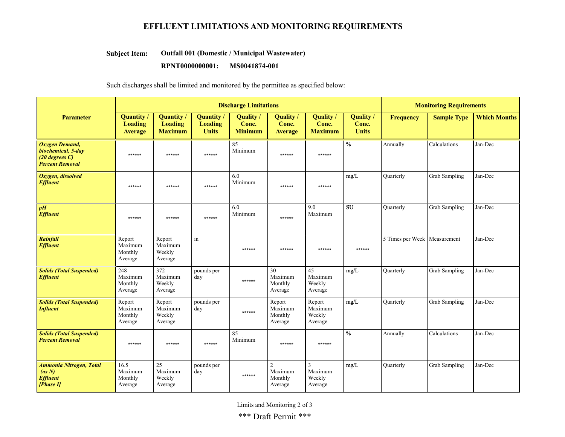### EFFLUENT LIMITATIONS AND MONITORING REQUIREMENTS

#### Outfall 001 (Domestic / Municipal Wastewater) Subject Item:

#### RPNT0000000001: MS0041874-001

Such discharges shall be limited and monitored by the permittee as specified below:

|                                                                                       | <b>Discharge Limitations</b>                          |                                                       |                                                     |                                           |                                                 |                                                |                                    |                                | <b>Monitoring Requirements</b> |                     |  |
|---------------------------------------------------------------------------------------|-------------------------------------------------------|-------------------------------------------------------|-----------------------------------------------------|-------------------------------------------|-------------------------------------------------|------------------------------------------------|------------------------------------|--------------------------------|--------------------------------|---------------------|--|
| <b>Parameter</b>                                                                      | <b>Quantity</b> /<br><b>Loading</b><br><b>Average</b> | <b>Quantity /</b><br><b>Loading</b><br><b>Maximum</b> | <b>Quantity</b> /<br><b>Loading</b><br><b>Units</b> | <b>Quality</b><br>Conc.<br><b>Minimum</b> | Quality<br>Conc.<br><b>Average</b>              | <b>Quality</b><br>Conc.<br><b>Maximum</b>      | Quality /<br>Conc.<br><b>Units</b> | <b>Frequency</b>               | <b>Sample Type</b>             | <b>Which Months</b> |  |
| Oxygen Demand,<br>biochemical, 5-day<br>$(20$ degrees $C$ )<br><b>Percent Removal</b> | ******                                                | ******                                                | ******                                              | 85<br>Minimum                             | ******                                          | ******                                         | $\frac{0}{6}$                      | Annually                       | Calculations                   | Jan-Dec             |  |
| Oxygen, dissolved<br><b>Effluent</b>                                                  | ******                                                | ******                                                | ******                                              | 6.0<br>Minimum                            | ******                                          | ******                                         | mg/L                               | <b>Quarterly</b>               | Grab Sampling                  | Jan-Dec             |  |
| pH<br><b>Effluent</b>                                                                 | ******                                                | ******                                                | ******                                              | 6.0<br>Minimum                            | ******                                          | 9.0<br>Maximum                                 | <b>SU</b>                          | Quarterly                      | Grab Sampling                  | Jan-Dec             |  |
| Rainfall<br><b>Effluent</b>                                                           | Report<br>Maximum<br>Monthly<br>Average               | Report<br>Maximum<br>Weekly<br>Average                | in                                                  | ******                                    | ******                                          | ******                                         | ******                             | 5 Times per Week   Measurement |                                | Jan-Dec             |  |
| <b>Solids (Total Suspended)</b><br><b>Effluent</b>                                    | 248<br>Maximum<br>Monthly<br>Average                  | 372<br>Maximum<br>Weekly<br>Average                   | pounds per<br>day                                   | ******                                    | 30<br>Maximum<br>Monthly<br>Average             | 45<br>Maximum<br>Weekly<br>Average             | mg/L                               | Quarterly                      | Grab Sampling                  | Jan-Dec             |  |
| <b>Solids (Total Suspended)</b><br><b>Influent</b>                                    | Report<br>Maximum<br>Monthly<br>Average               | Report<br>Maximum<br>Weekly<br>Average                | pounds per<br>day                                   | ******                                    | Report<br>Maximum<br>Monthly<br>Average         | Report<br>Maximum<br>Weekly<br>Average         | mg/L                               | <b>Quarterly</b>               | Grab Sampling                  | Jan-Dec             |  |
| <b>Solids (Total Suspended)</b><br><b>Percent Removal</b>                             | ******                                                | ******                                                | ******                                              | 85<br>Minimum                             | ******                                          | ******                                         | $\frac{0}{0}$                      | Annually                       | Calculations                   | Jan-Dec             |  |
| <b>Ammonia Nitrogen</b> , Total<br>(as N)<br><b>Effluent</b><br>[Phase II]            | 16.5<br>Maximum<br>Monthly<br>Average                 | 25<br>Maximum<br>Weekly<br>Average                    | pounds per<br>day                                   | ******                                    | $\overline{2}$<br>Maximum<br>Monthly<br>Average | $\overline{3}$<br>Maximum<br>Weekly<br>Average | mg/L                               | <b>Quarterly</b>               | Grab Sampling                  | Jan-Dec             |  |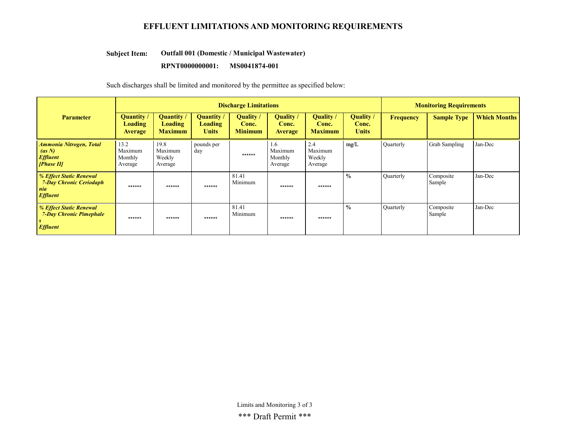### EFFLUENT LIMITATIONS AND MONITORING REQUIREMENTS

#### Outfall 001 (Domestic / Municipal Wastewater) Subject Item:

#### RPNT0000000001: MS0041874-001

Such discharges shall be limited and monitored by the permittee as specified below:

|                                                                                     | <b>Discharge Limitations</b>                   |                                                       |                                     |                                      |                                      |                                      |                                    |                  | <b>Monitoring Requirements</b> |                     |  |
|-------------------------------------------------------------------------------------|------------------------------------------------|-------------------------------------------------------|-------------------------------------|--------------------------------------|--------------------------------------|--------------------------------------|------------------------------------|------------------|--------------------------------|---------------------|--|
| <b>Parameter</b>                                                                    | <b>Quantity</b> /<br>Loading<br><b>Average</b> | <b>Quantity</b> /<br><b>Loading</b><br><b>Maximum</b> | Quantity<br>Loading<br><b>Units</b> | Quality /<br>Conc.<br><b>Minimum</b> | Quality /<br>Conc.<br><b>Average</b> | Quality /<br>Conc.<br><b>Maximum</b> | Quality /<br>Conc.<br><b>Units</b> | Frequency        | <b>Sample Type</b>             | <b>Which Months</b> |  |
| <b>Ammonia Nitrogen, Total</b><br>(as N)<br><b>Effluent</b><br>[Phase II]           | 13.2<br>Maximum<br>Monthly<br>Average          | 19.8<br>Maximum<br>Weekly<br>Average                  | pounds per<br>day                   | ******                               | 1.6<br>Maximum<br>Monthly<br>Average | 2.4<br>Maximum<br>Weekly<br>Average  | mg/L                               | Quarterly        | Grab Sampling                  | Jan-Dec             |  |
| % Effect Static Renewal<br><b>7-Day Chronic Ceriodaph</b><br>nia<br><b>Effluent</b> | ******                                         | ******                                                | ******                              | 81.41<br>Minimum                     | ******                               | ******                               | $\frac{0}{0}$                      | <b>Quarterly</b> | Composite<br>Sample            | Jan-Dec             |  |
| % Effect Static Renewal<br><b>7-Day Chronic Pimephale</b><br>S<br><b>Effluent</b>   | ******                                         | ******                                                | ******                              | 81.41<br>Minimum                     | ******                               | ******                               | $\frac{0}{0}$                      | Quarterly        | Composite<br>Sample            | Jan-Dec             |  |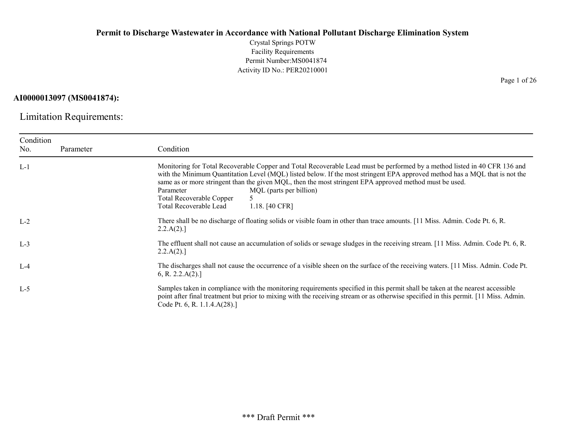Crystal Springs POTW Facility Requirements Permit Number:MS0041874 Activity ID No.: PER20210001

### AI0000013097 (MS0041874):

Limitation Requirements:

| Condition<br>No. | Parameter | Condition                                                                                                                                                                                                                                                                                                                                                                                                                                                                                            |
|------------------|-----------|------------------------------------------------------------------------------------------------------------------------------------------------------------------------------------------------------------------------------------------------------------------------------------------------------------------------------------------------------------------------------------------------------------------------------------------------------------------------------------------------------|
| $L-1$            |           | Monitoring for Total Recoverable Copper and Total Recoverable Lead must be performed by a method listed in 40 CFR 136 and<br>with the Minimum Quantitation Level (MQL) listed below. If the most stringent EPA approved method has a MQL that is not the<br>same as or more stringent than the given MQL, then the most stringent EPA approved method must be used.<br>MQL (parts per billion)<br>Parameter<br><b>Total Recoverable Copper</b><br>Total Recoverable Lead<br>1.18. $[40 \text{ CFR}]$ |
| $L-2$            |           | There shall be no discharge of floating solids or visible foam in other than trace amounts. [11 Miss. Admin. Code Pt. 6, R.<br>2.2.A(2).                                                                                                                                                                                                                                                                                                                                                             |
| $L-3$            |           | The effluent shall not cause an accumulation of solids or sewage sludges in the receiving stream. [11 Miss. Admin. Code Pt. 6, R.<br>2.2.A(2).                                                                                                                                                                                                                                                                                                                                                       |
| $L-4$            |           | The discharges shall not cause the occurrence of a visible sheen on the surface of the receiving waters. [11 Miss. Admin. Code Pt.<br>6, R. 2.2.A(2).                                                                                                                                                                                                                                                                                                                                                |
| $L-5$            |           | Samples taken in compliance with the monitoring requirements specified in this permit shall be taken at the nearest accessible<br>point after final treatment but prior to mixing with the receiving stream or as otherwise specified in this permit. [11 Miss. Admin.<br>Code Pt. 6, R. 1.1.4.A(28).]                                                                                                                                                                                               |

Page 1 of 26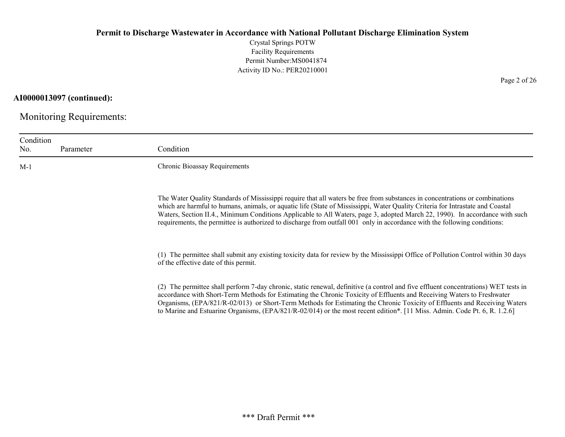Crystal Springs POTW Facility Requirements Permit Number:MS0041874 Activity ID No.: PER20210001

Page 2 of 26

## AI0000013097 (continued):

Monitoring Requirements:

| Condition<br>No. | Parameter | Condition                                                                                                                                                                                                                                                                                                                                                                                                                                                                                                                   |
|------------------|-----------|-----------------------------------------------------------------------------------------------------------------------------------------------------------------------------------------------------------------------------------------------------------------------------------------------------------------------------------------------------------------------------------------------------------------------------------------------------------------------------------------------------------------------------|
| $M-1$            |           | Chronic Bioassay Requirements                                                                                                                                                                                                                                                                                                                                                                                                                                                                                               |
|                  |           | The Water Quality Standards of Mississippi require that all waters be free from substances in concentrations or combinations<br>which are harmful to humans, animals, or aquatic life (State of Mississippi, Water Quality Criteria for Intrastate and Coastal<br>Waters, Section II.4., Minimum Conditions Applicable to All Waters, page 3, adopted March 22, 1990). In accordance with such<br>requirements, the permittee is authorized to discharge from outfall 001 only in accordance with the following conditions: |
|                  |           | (1) The permittee shall submit any existing toxicity data for review by the Mississippi Office of Pollution Control within 30 days<br>of the effective date of this permit.                                                                                                                                                                                                                                                                                                                                                 |
|                  |           | (2) The permittee shall perform 7-day chronic, static renewal, definitive (a control and five effluent concentrations) WET tests in<br>accordance with Short-Term Methods for Estimating the Chronic Toxicity of Effluents and Receiving Waters to Freshwater<br>Organisms, (EPA/821/R-02/013) or Short-Term Methods for Estimating the Chronic Toxicity of Effluents and Receiving Waters<br>to Marine and Estuarine Organisms, (EPA/821/R-02/014) or the most recent edition*. [11 Miss. Admin. Code Pt. 6, R. 1.2.6]     |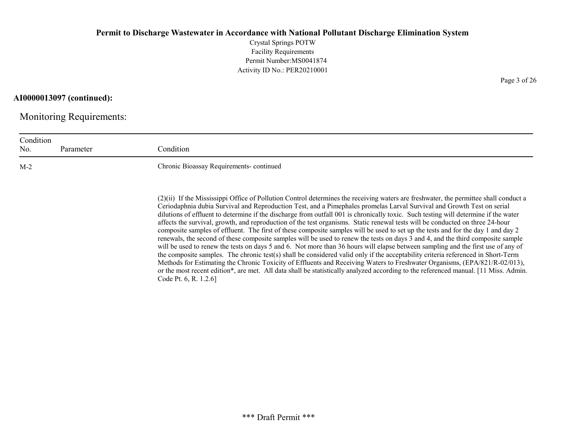Crystal Springs POTW Facility Requirements Permit Number:MS0041874 Activity ID No.: PER20210001

### AI0000013097 (continued):

Monitoring Requirements:

| Condition<br>No. | Parameter | Condition                               |
|------------------|-----------|-----------------------------------------|
| $M-2$            |           | Chronic Bioassay Requirements-continued |

(2)(ii) If the Mississippi Office of Pollution Control determines the receiving waters are freshwater, the permittee shall conduct a Ceriodaphnia dubia Survival and Reproduction Test, and a Pimephales promelas Larval Survival and Growth Test on serial dilutions of effluent to determine if the discharge from outfall 001 is chronically toxic. Such testing will determine if the water affects the survival, growth, and reproduction of the test organisms. Static renewal tests will be conducted on three 24-hour composite samples of effluent. The first of these composite samples will be used to set up the tests and for the day 1 and day 2 renewals, the second of these composite samples will be used to renew the tests on days 3 and 4, and the third composite sample will be used to renew the tests on days 5 and 6. Not more than 36 hours will elapse between sampling and the first use of any of the composite samples. The chronic test(s) shall be considered valid only if the acceptability criteria referenced in Short-Term Methods for Estimating the Chronic Toxicity of Effluents and Receiving Waters to Freshwater Organisms, (EPA/821/R-02/013), or the most recent edition\*, are met. All data shall be statistically analyzed according to the referenced manual. [11 Miss. Admin. Code Pt. 6, R. 1.2.6]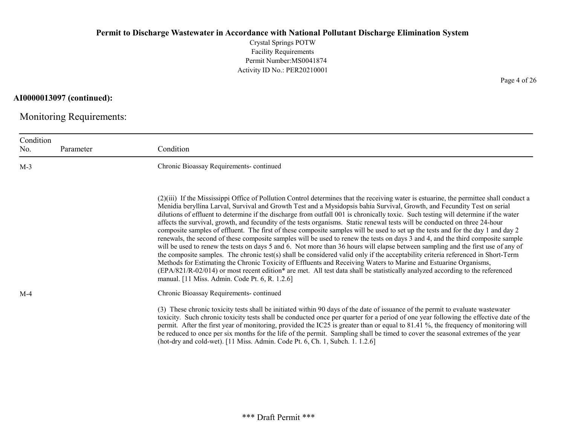Crystal Springs POTW Facility Requirements Permit Number:MS0041874 Activity ID No.: PER20210001

## AI0000013097 (continued):

Monitoring Requirements:

| Condition<br>No. | Parameter | Condition                                                                                                                                                                                                                                                                                                                                                                                                                                                                                                                                                                                                                                                                                                                                                                                                                                                                                                                                                                                                                                                                                                                                                                                                                                                                                                                                                                                       |
|------------------|-----------|-------------------------------------------------------------------------------------------------------------------------------------------------------------------------------------------------------------------------------------------------------------------------------------------------------------------------------------------------------------------------------------------------------------------------------------------------------------------------------------------------------------------------------------------------------------------------------------------------------------------------------------------------------------------------------------------------------------------------------------------------------------------------------------------------------------------------------------------------------------------------------------------------------------------------------------------------------------------------------------------------------------------------------------------------------------------------------------------------------------------------------------------------------------------------------------------------------------------------------------------------------------------------------------------------------------------------------------------------------------------------------------------------|
| $M-3$            |           | Chronic Bioassay Requirements-continued                                                                                                                                                                                                                                                                                                                                                                                                                                                                                                                                                                                                                                                                                                                                                                                                                                                                                                                                                                                                                                                                                                                                                                                                                                                                                                                                                         |
|                  |           | (2)(iii) If the Mississippi Office of Pollution Control determines that the receiving water is estuarine, the permittee shall conduct a<br>Menidia beryllina Larval, Survival and Growth Test and a Mysidopsis bahia Survival, Growth, and Fecundity Test on serial<br>dilutions of effluent to determine if the discharge from outfall 001 is chronically toxic. Such testing will determine if the water<br>affects the survival, growth, and fecundity of the tests organisms. Static renewal tests will be conducted on three 24-hour<br>composite samples of effluent. The first of these composite samples will be used to set up the tests and for the day 1 and day 2<br>renewals, the second of these composite samples will be used to renew the tests on days 3 and 4, and the third composite sample<br>will be used to renew the tests on days 5 and 6. Not more than 36 hours will elapse between sampling and the first use of any of<br>the composite samples. The chronic test(s) shall be considered valid only if the acceptability criteria referenced in Short-Term<br>Methods for Estimating the Chronic Toxicity of Effluents and Receiving Waters to Marine and Estuarine Organisms,<br>(EPA/821/R-02/014) or most recent edition* are met. All test data shall be statistically analyzed according to the referenced<br>manual. [11 Miss. Admin. Code Pt. 6, R. 1.2.6] |
| $M-4$            |           | Chronic Bioassay Requirements-continued                                                                                                                                                                                                                                                                                                                                                                                                                                                                                                                                                                                                                                                                                                                                                                                                                                                                                                                                                                                                                                                                                                                                                                                                                                                                                                                                                         |
|                  |           | (3) These chronic toxicity tests shall be initiated within 90 days of the date of issuance of the permit to evaluate wastewater<br>toxicity. Such chronic toxicity tests shall be conducted once per quarter for a period of one year following the effective date of the<br>permit. After the first year of monitoring, provided the IC25 is greater than or equal to 81.41 %, the frequency of monitoring will<br>be reduced to once per six months for the life of the permit. Sampling shall be timed to cover the seasonal extremes of the year<br>(hot-dry and cold-wet). [11 Miss. Admin. Code Pt. 6, Ch. 1, Subch. 1. 1.2.6]                                                                                                                                                                                                                                                                                                                                                                                                                                                                                                                                                                                                                                                                                                                                                            |

Page 4 of 26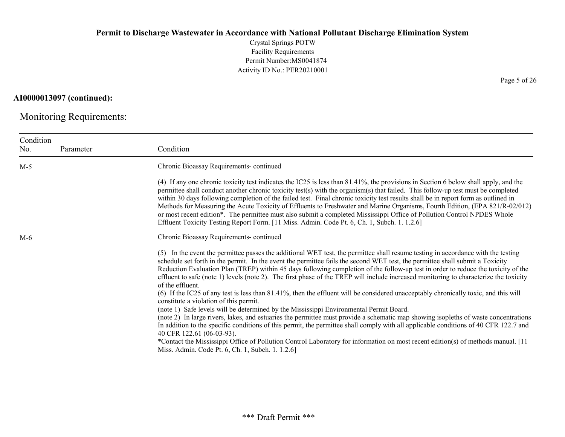Crystal Springs POTW Facility Requirements Permit Number:MS0041874 Activity ID No.: PER20210001

### AI0000013097 (continued):

Monitoring Requirements:

| Condition<br>No. | Parameter | Condition                                                                                                                                                                                                                                                                                                                                                                                                                                                                                                                                                                                                                                                                                                                                                                                                                                                                                                                                                                                                                                                                                                                                                                                                                                                                                                                                          |
|------------------|-----------|----------------------------------------------------------------------------------------------------------------------------------------------------------------------------------------------------------------------------------------------------------------------------------------------------------------------------------------------------------------------------------------------------------------------------------------------------------------------------------------------------------------------------------------------------------------------------------------------------------------------------------------------------------------------------------------------------------------------------------------------------------------------------------------------------------------------------------------------------------------------------------------------------------------------------------------------------------------------------------------------------------------------------------------------------------------------------------------------------------------------------------------------------------------------------------------------------------------------------------------------------------------------------------------------------------------------------------------------------|
| $M-5$            |           | Chronic Bioassay Requirements-continued                                                                                                                                                                                                                                                                                                                                                                                                                                                                                                                                                                                                                                                                                                                                                                                                                                                                                                                                                                                                                                                                                                                                                                                                                                                                                                            |
|                  |           | (4) If any one chronic toxicity test indicates the IC25 is less than 81.41%, the provisions in Section 6 below shall apply, and the<br>permittee shall conduct another chronic toxicity test(s) with the organism(s) that failed. This follow-up test must be completed<br>within 30 days following completion of the failed test. Final chronic toxicity test results shall be in report form as outlined in<br>Methods for Measuring the Acute Toxicity of Effluents to Freshwater and Marine Organisms, Fourth Edition, (EPA 821/R-02/012)<br>or most recent edition*. The permittee must also submit a completed Mississippi Office of Pollution Control NPDES Whole<br>Effluent Toxicity Testing Report Form. [11 Miss. Admin. Code Pt. 6, Ch. 1, Subch. 1. 1.2.6]                                                                                                                                                                                                                                                                                                                                                                                                                                                                                                                                                                            |
| $M-6$            |           | Chronic Bioassay Requirements-continued                                                                                                                                                                                                                                                                                                                                                                                                                                                                                                                                                                                                                                                                                                                                                                                                                                                                                                                                                                                                                                                                                                                                                                                                                                                                                                            |
|                  |           | (5) In the event the permittee passes the additional WET test, the permittee shall resume testing in accordance with the testing<br>schedule set forth in the permit. In the event the permittee fails the second WET test, the permittee shall submit a Toxicity<br>Reduction Evaluation Plan (TREP) within 45 days following completion of the follow-up test in order to reduce the toxicity of the<br>effluent to safe (note 1) levels (note 2). The first phase of the TREP will include increased monitoring to characterize the toxicity<br>of the effluent.<br>(6) If the IC25 of any test is less than 81.41%, then the effluent will be considered unacceptably chronically toxic, and this will<br>constitute a violation of this permit.<br>(note 1) Safe levels will be determined by the Mississippi Environmental Permit Board.<br>(note 2) In large rivers, lakes, and estuaries the permittee must provide a schematic map showing isopleths of waste concentrations<br>In addition to the specific conditions of this permit, the permittee shall comply with all applicable conditions of 40 CFR 122.7 and<br>40 CFR 122.61 (06-03-93).<br>*Contact the Mississippi Office of Pollution Control Laboratory for information on most recent edition(s) of methods manual. [11<br>Miss. Admin. Code Pt. 6, Ch. 1, Subch. 1. 1.2.6] |

Page 5 of 26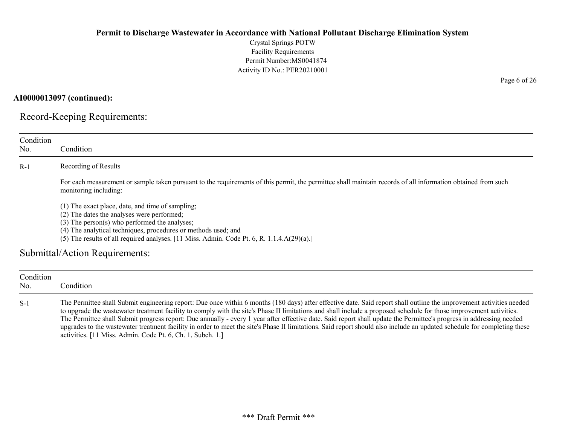Crystal Springs POTW Facility Requirements Permit Number:MS0041874 Activity ID No.: PER20210001

AI0000013097 (continued):

Record-Keeping Requirements:

| Condition<br>No. | Condition                                                                                                                                                                                                                                                                                                                |
|------------------|--------------------------------------------------------------------------------------------------------------------------------------------------------------------------------------------------------------------------------------------------------------------------------------------------------------------------|
| $R-1$            | Recording of Results                                                                                                                                                                                                                                                                                                     |
|                  | For each measurement or sample taken pursuant to the requirements of this permit, the permittee shall maintain records of all information obtained from such<br>monitoring including:                                                                                                                                    |
|                  | (1) The exact place, date, and time of sampling;<br>(2) The dates the analyses were performed;<br>$(3)$ The person $(s)$ who performed the analyses;<br>(4) The analytical techniques, procedures or methods used; and<br>(5) The results of all required analyses. [11 Miss. Admin. Code Pt. 6, R. 1.1.4. $A(29)(a)$ .] |
|                  | Submittal/Action Requirements:                                                                                                                                                                                                                                                                                           |
| Condition<br>No. | Condition                                                                                                                                                                                                                                                                                                                |

S-1 The Permittee shall Submit engineering report: Due once within 6 months (180 days) after effective date. Said report shall outline the improvement activities needed to upgrade the wastewater treatment facility to comply with the site's Phase II limitations and shall include a proposed schedule for those improvement activities. The Permittee shall Submit progress report: Due annually - every 1 year after effective date. Said report shall update the Permittee's progress in addressing needed upgrades to the wastewater treatment facility in order to meet the site's Phase II limitations. Said report should also include an updated schedule for completing these activities. [11 Miss. Admin. Code Pt. 6, Ch. 1, Subch. 1.]

Page 6 of 26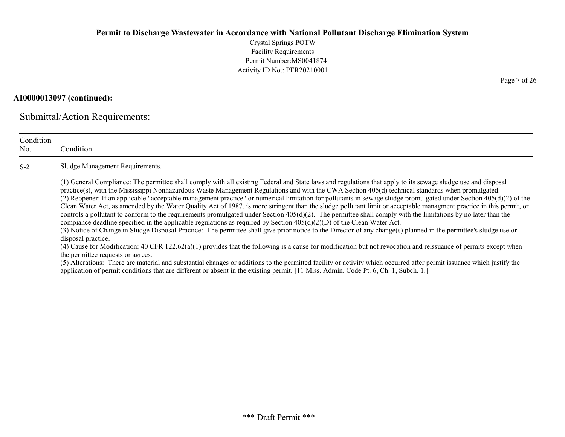Crystal Springs POTW Facility Requirements Permit Number:MS0041874 Activity ID No.: PER20210001

### AI0000013097 (continued):

Submittal/Action Requirements:

| Condition<br>No. | Condition                                                                                                                                                                                                                                                                                                                                                                                                                                                                                                                                                                                                                                                                                                                                                                                                                                                                                                                                                                                                                                                                                                                                                                                                                                                                                                                                                                                                                                                                                                                                                                                                                                                                             |
|------------------|---------------------------------------------------------------------------------------------------------------------------------------------------------------------------------------------------------------------------------------------------------------------------------------------------------------------------------------------------------------------------------------------------------------------------------------------------------------------------------------------------------------------------------------------------------------------------------------------------------------------------------------------------------------------------------------------------------------------------------------------------------------------------------------------------------------------------------------------------------------------------------------------------------------------------------------------------------------------------------------------------------------------------------------------------------------------------------------------------------------------------------------------------------------------------------------------------------------------------------------------------------------------------------------------------------------------------------------------------------------------------------------------------------------------------------------------------------------------------------------------------------------------------------------------------------------------------------------------------------------------------------------------------------------------------------------|
| $S-2$            | Sludge Management Requirements.                                                                                                                                                                                                                                                                                                                                                                                                                                                                                                                                                                                                                                                                                                                                                                                                                                                                                                                                                                                                                                                                                                                                                                                                                                                                                                                                                                                                                                                                                                                                                                                                                                                       |
|                  | (1) General Compliance: The permittee shall comply with all existing Federal and State laws and regulations that apply to its sewage sludge use and disposal<br>practice(s), with the Mississippi Nonhazardous Waste Management Regulations and with the CWA Section 405(d) technical standards when promulgated.<br>(2) Reopener: If an applicable "acceptable management practice" or numerical limitation for pollutants in sewage sludge promulgated under Section $405(d)(2)$ of the<br>Clean Water Act, as amended by the Water Quality Act of 1987, is more stringent than the sludge pollutant limit or acceptable managment practice in this permit, or<br>controls a pollutant to conform to the requirements promulgated under Section $405(d)(2)$ . The permittee shall comply with the limitations by no later than the<br>compiance deadline specified in the applicable regulations as required by Section $405(d)(2)(D)$ of the Clean Water Act.<br>(3) Notice of Change in Sludge Disposal Practice: The permittee shall give prior notice to the Director of any change(s) planned in the permittee's sludge use or<br>disposal practice.<br>(4) Cause for Modification: 40 CFR 122.62(a)(1) provides that the following is a cause for modification but not revocation and reissuance of permits except when<br>the permittee requests or agrees.<br>(5) Alterations: There are material and substantial changes or additions to the permitted facility or activity which occurred after permit issuance which justify the<br>application of permit conditions that are different or absent in the existing permit. [11 Miss. Admin. Code Pt. 6, Ch. 1, Subch. 1.] |

Page 7 of 26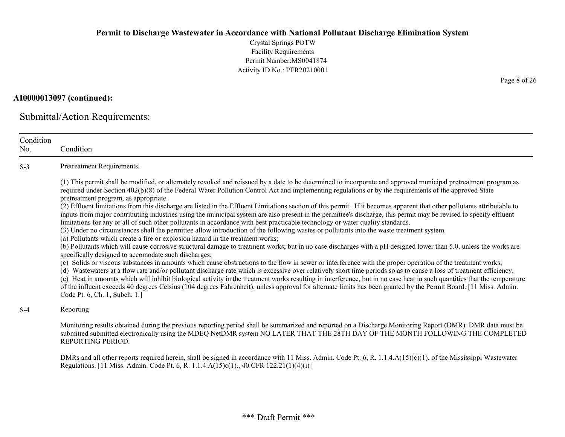Crystal Springs POTW Facility Requirements Permit Number:MS0041874 Activity ID No.: PER20210001

### AI0000013097 (continued):

Submittal/Action Requirements:

| Condition<br>No. | Condition                                                                                                                                                                                                                                                                                                                                                                                                                                                                                                                                                                                                                                                                                                                                                                                                                                                                                                                                                                                                                                                                                                                                                                                                                                                                                                                                                                                                                                                                                                                                                                                                                                                                                                                                                                                                                                                                                                                                                                                                                               |
|------------------|-----------------------------------------------------------------------------------------------------------------------------------------------------------------------------------------------------------------------------------------------------------------------------------------------------------------------------------------------------------------------------------------------------------------------------------------------------------------------------------------------------------------------------------------------------------------------------------------------------------------------------------------------------------------------------------------------------------------------------------------------------------------------------------------------------------------------------------------------------------------------------------------------------------------------------------------------------------------------------------------------------------------------------------------------------------------------------------------------------------------------------------------------------------------------------------------------------------------------------------------------------------------------------------------------------------------------------------------------------------------------------------------------------------------------------------------------------------------------------------------------------------------------------------------------------------------------------------------------------------------------------------------------------------------------------------------------------------------------------------------------------------------------------------------------------------------------------------------------------------------------------------------------------------------------------------------------------------------------------------------------------------------------------------------|
| $S-3$            | Pretreatment Requirements.                                                                                                                                                                                                                                                                                                                                                                                                                                                                                                                                                                                                                                                                                                                                                                                                                                                                                                                                                                                                                                                                                                                                                                                                                                                                                                                                                                                                                                                                                                                                                                                                                                                                                                                                                                                                                                                                                                                                                                                                              |
|                  | (1) This permit shall be modified, or alternately revoked and reissued by a date to be determined to incorporate and approved municipal pretreatment program as<br>required under Section 402(b)(8) of the Federal Water Pollution Control Act and implementing regulations or by the requirements of the approved State<br>pretreatment program, as appropriate.<br>(2) Effluent limitations from this discharge are listed in the Effluent Limitations section of this permit. If it becomes apparent that other pollutants attributable to<br>inputs from major contributing industries using the municipal system are also present in the permittee's discharge, this permit may be revised to specify effluent<br>limitations for any or all of such other pollutants in accordance with best practicable technology or water quality standards.<br>(3) Under no circumstances shall the permittee allow introduction of the following wastes or pollutants into the waste treatment system.<br>(a) Pollutants which create a fire or explosion hazard in the treatment works;<br>(b) Pollutants which will cause corrosive structural damage to treatment works; but in no case discharges with a pH designed lower than 5.0, unless the works are<br>specifically designed to accomodate such discharges;<br>(c) Solids or viscous substances in amounts which cause obstructions to the flow in sewer or interference with the proper operation of the treatment works;<br>(d) Wastewaters at a flow rate and/or pollutant discharge rate which is excessive over relatively short time periods so as to cause a loss of treatment efficiency;<br>(e) Heat in amounts which will inhibit biological activity in the treatment works resulting in interference, but in no case heat in such quantities that the temperature<br>of the influent exceeds 40 degrees Celsius (104 degrees Fahrenheit), unless approval for alternate limits has been granted by the Permit Board. [11 Miss. Admin.<br>Code Pt. 6, Ch. 1, Subch. 1.] |
| $S-4$            | Reporting                                                                                                                                                                                                                                                                                                                                                                                                                                                                                                                                                                                                                                                                                                                                                                                                                                                                                                                                                                                                                                                                                                                                                                                                                                                                                                                                                                                                                                                                                                                                                                                                                                                                                                                                                                                                                                                                                                                                                                                                                               |
|                  | Monitoring results obtained during the previous reporting period shall be summarized and reported on a Discharge Monitoring Report (DMR). DMR data must be<br>submitted submitted electronically using the MDEQ NetDMR system NO LATER THAT THE 28TH DAY OF THE MONTH FOLLOWING THE COMPLETED<br>REPORTING PERIOD.                                                                                                                                                                                                                                                                                                                                                                                                                                                                                                                                                                                                                                                                                                                                                                                                                                                                                                                                                                                                                                                                                                                                                                                                                                                                                                                                                                                                                                                                                                                                                                                                                                                                                                                      |
|                  | DMRs and all other reports required herein, shall be signed in accordance with 11 Miss. Admin. Code Pt. 6, R. 1.1.4. $A(15)(c)(1)$ . of the Mississippi Wastewater<br>Regulations. [11 Miss. Admin. Code Pt. 6, R. 1.1.4.A(15)c(1)., 40 CFR 122.21(1)(4)(i)]                                                                                                                                                                                                                                                                                                                                                                                                                                                                                                                                                                                                                                                                                                                                                                                                                                                                                                                                                                                                                                                                                                                                                                                                                                                                                                                                                                                                                                                                                                                                                                                                                                                                                                                                                                            |

Page 8 of 26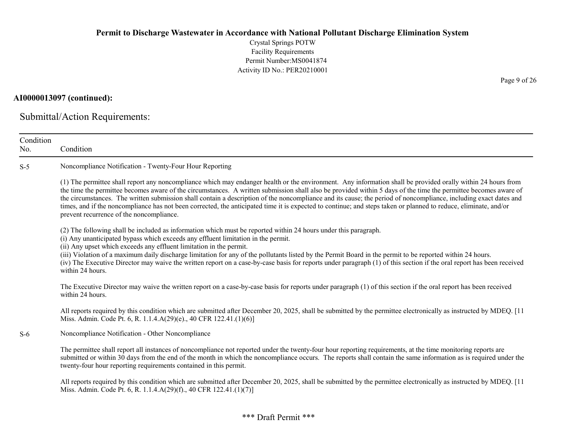Crystal Springs POTW Facility Requirements Permit Number:MS0041874 Activity ID No.: PER20210001

### AI0000013097 (continued):

Submittal/Action Requirements:

| Condition<br>No. | Condition                                                                                                                                                                                                                                                                                                                                                                                                                                                                                                                                                                                                                                                                                                           |
|------------------|---------------------------------------------------------------------------------------------------------------------------------------------------------------------------------------------------------------------------------------------------------------------------------------------------------------------------------------------------------------------------------------------------------------------------------------------------------------------------------------------------------------------------------------------------------------------------------------------------------------------------------------------------------------------------------------------------------------------|
| $S-5$            | Noncompliance Notification - Twenty-Four Hour Reporting                                                                                                                                                                                                                                                                                                                                                                                                                                                                                                                                                                                                                                                             |
|                  | (1) The permittee shall report any noncompliance which may endanger health or the environment. Any information shall be provided orally within 24 hours from<br>the time the permittee becomes aware of the circumstances. A written submission shall also be provided within 5 days of the time the permittee becomes aware of<br>the circumstances. The written submission shall contain a description of the noncompliance and its cause; the period of noncompliance, including exact dates and<br>times, and if the noncompliance has not been corrected, the anticipated time it is expected to continue; and steps taken or planned to reduce, eliminate, and/or<br>prevent recurrence of the noncompliance. |
|                  | (2) The following shall be included as information which must be reported within 24 hours under this paragraph.<br>(i) Any unanticipated bypass which exceeds any effluent limitation in the permit.<br>(ii) Any upset which exceeds any effluent limitation in the permit.<br>(iii) Violation of a maximum daily discharge limitation for any of the pollutants listed by the Permit Board in the permit to be reported within 24 hours.<br>(iv) The Executive Director may waive the written report on a case-by-case basis for reports under paragraph (1) of this section if the oral report has been received<br>within 24 hours.                                                                              |
|                  | The Executive Director may waive the written report on a case-by-case basis for reports under paragraph (1) of this section if the oral report has been received<br>within 24 hours.                                                                                                                                                                                                                                                                                                                                                                                                                                                                                                                                |
|                  | All reports required by this condition which are submitted after December 20, 2025, shall be submitted by the permittee electronically as instructed by MDEQ. [11<br>Miss. Admin. Code Pt. 6, R. 1.1.4.A(29)(e)., 40 CFR 122.41.(1)(6)]                                                                                                                                                                                                                                                                                                                                                                                                                                                                             |
| $S-6$            | Noncompliance Notification - Other Noncompliance                                                                                                                                                                                                                                                                                                                                                                                                                                                                                                                                                                                                                                                                    |
|                  | The permittee shall report all instances of noncompliance not reported under the twenty-four hour reporting requirements, at the time monitoring reports are<br>submitted or within 30 days from the end of the month in which the noncompliance occurs. The reports shall contain the same information as is required under the<br>twenty-four hour reporting requirements contained in this permit.                                                                                                                                                                                                                                                                                                               |
|                  | All reports required by this condition which are submitted after December 20, 2025, shall be submitted by the permittee electronically as instructed by MDEQ. [11<br>Miss. Admin. Code Pt. 6, R. 1.1.4.A(29)(f)., 40 CFR 122.41.(1)(7)]                                                                                                                                                                                                                                                                                                                                                                                                                                                                             |

Page 9 of 26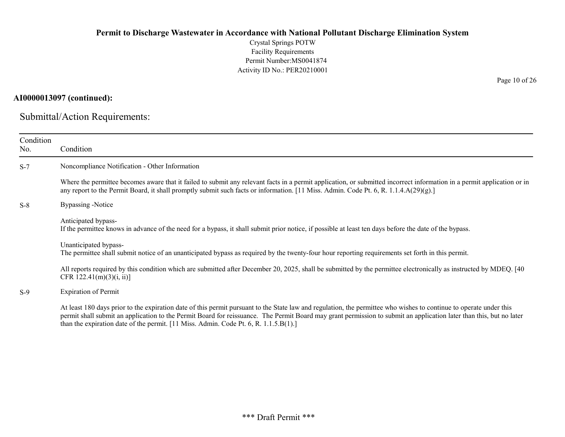Crystal Springs POTW Facility Requirements Permit Number:MS0041874 Activity ID No.: PER20210001

### AI0000013097 (continued):

Submittal/Action Requirements:

| Condition<br>No. | Condition                                                                                                                                                                                                                                                                                                                                                                                                                            |
|------------------|--------------------------------------------------------------------------------------------------------------------------------------------------------------------------------------------------------------------------------------------------------------------------------------------------------------------------------------------------------------------------------------------------------------------------------------|
| $S-7$            | Noncompliance Notification - Other Information                                                                                                                                                                                                                                                                                                                                                                                       |
|                  | Where the permittee becomes aware that it failed to submit any relevant facts in a permit application, or submitted incorrect information in a permit application or in<br>any report to the Permit Board, it shall promptly submit such facts or information. [11 Miss. Admin. Code Pt. 6, R. 1.1.4.A(29)(g).]                                                                                                                      |
| $S-8$            | Bypassing -Notice                                                                                                                                                                                                                                                                                                                                                                                                                    |
|                  | Anticipated bypass-<br>If the permittee knows in advance of the need for a bypass, it shall submit prior notice, if possible at least ten days before the date of the bypass.                                                                                                                                                                                                                                                        |
|                  | Unanticipated bypass-<br>The permittee shall submit notice of an unanticipated bypass as required by the twenty-four hour reporting requirements set forth in this permit.                                                                                                                                                                                                                                                           |
|                  | All reports required by this condition which are submitted after December 20, 2025, shall be submitted by the permittee electronically as instructed by MDEQ. [40]<br>CFR $122.41(m)(3)(i, ii)$                                                                                                                                                                                                                                      |
| $S-9$            | <b>Expiration of Permit</b>                                                                                                                                                                                                                                                                                                                                                                                                          |
|                  | At least 180 days prior to the expiration date of this permit pursuant to the State law and regulation, the permittee who wishes to continue to operate under this<br>permit shall submit an application to the Permit Board for reissuance. The Permit Board may grant permission to submit an application later than this, but no later<br>than the expiration date of the permit. [11 Miss. Admin. Code Pt. 6, R. $1.1.5.B(1).$ ] |

Page 10 of 26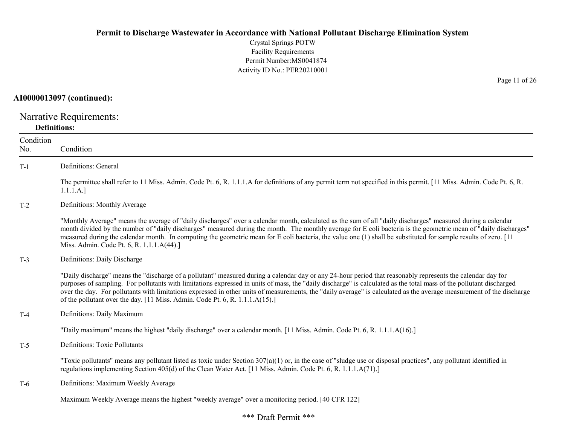Crystal Springs POTW Facility Requirements Permit Number:MS0041874 Activity ID No.: PER20210001

### AI0000013097 (continued):

Narrative Requirements: Definitions:

| Condition<br>No. | Condition                                                                                                                                                                                                                                                                                                                                                                                                                                                                                                                                                                                   |
|------------------|---------------------------------------------------------------------------------------------------------------------------------------------------------------------------------------------------------------------------------------------------------------------------------------------------------------------------------------------------------------------------------------------------------------------------------------------------------------------------------------------------------------------------------------------------------------------------------------------|
| $T-1$            | Definitions: General                                                                                                                                                                                                                                                                                                                                                                                                                                                                                                                                                                        |
|                  | The permittee shall refer to 11 Miss. Admin. Code Pt. 6, R. 1.1.1.A for definitions of any permit term not specified in this permit. [11 Miss. Admin. Code Pt. 6, R.<br>1.1.1.A.]                                                                                                                                                                                                                                                                                                                                                                                                           |
| $T-2$            | Definitions: Monthly Average                                                                                                                                                                                                                                                                                                                                                                                                                                                                                                                                                                |
|                  | "Monthly Average" means the average of "daily discharges" over a calendar month, calculated as the sum of all "daily discharges" measured during a calendar<br>month divided by the number of "daily discharges" measured during the month. The monthly average for E coli bacteria is the geometric mean of "daily discharges"<br>measured during the calendar month. In computing the geometric mean for E coli bacteria, the value one (1) shall be substituted for sample results of zero. [11]<br>Miss. Admin. Code Pt. 6, R. 1.1.1.A(44).]                                            |
| $T-3$            | Definitions: Daily Discharge                                                                                                                                                                                                                                                                                                                                                                                                                                                                                                                                                                |
|                  | "Daily discharge" means the "discharge of a pollutant" measured during a calendar day or any 24-hour period that reasonably represents the calendar day for<br>purposes of sampling. For pollutants with limitations expressed in units of mass, the "daily discharge" is calculated as the total mass of the pollutant discharged<br>over the day. For pollutants with limitations expressed in other units of measurements, the "daily average" is calculated as the average measurement of the discharge<br>of the pollutant over the day. [11 Miss. Admin. Code Pt. 6, R. 1.1.1.A(15).] |
| $T-4$            | Definitions: Daily Maximum                                                                                                                                                                                                                                                                                                                                                                                                                                                                                                                                                                  |
|                  | "Daily maximum" means the highest "daily discharge" over a calendar month. [11 Miss. Admin. Code Pt. 6, R. 1.1.1.A(16).]                                                                                                                                                                                                                                                                                                                                                                                                                                                                    |
| $T-5$            | <b>Definitions: Toxic Pollutants</b>                                                                                                                                                                                                                                                                                                                                                                                                                                                                                                                                                        |
|                  | "Toxic pollutants" means any pollutant listed as toxic under Section $307(a)(1)$ or, in the case of "sludge use or disposal practices", any pollutant identified in<br>regulations implementing Section 405(d) of the Clean Water Act. [11 Miss. Admin. Code Pt. 6, R. 1.1.1.A(71).]                                                                                                                                                                                                                                                                                                        |
| T-6              | Definitions: Maximum Weekly Average                                                                                                                                                                                                                                                                                                                                                                                                                                                                                                                                                         |
|                  | Maximum Weekly Average means the highest "weekly average" over a monitoring period. [40 CFR 122]                                                                                                                                                                                                                                                                                                                                                                                                                                                                                            |

Page 11 of 26

### \*\*\* Draft Permit \*\*\*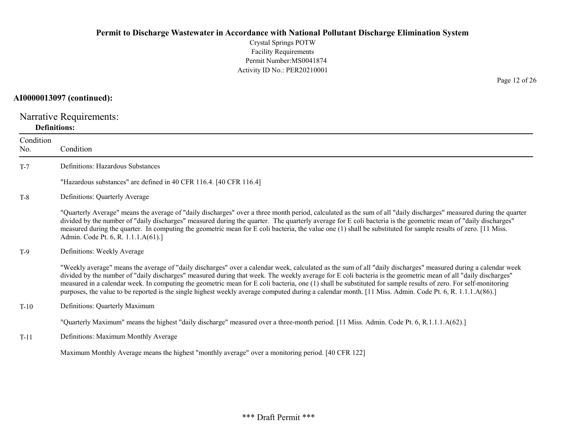Crystal Springs POTW Facility Requirements Permit Number:MS0041874 Activity ID No.: PER20210001

### AI0000013097 (continued):

Narrative Requirements: Definitions:

# Condition No. Condition T-7 Definitions: Hazardous Substances "Hazardous substances" are defined in 40 CFR 116.4. [40 CFR 116.4] T-8 Definitions: Quarterly Average "Quarterly Average" means the average of "daily discharges" over a three month period, calculated as the sum of all "daily discharges" measured during the quarter divided by the number of "daily discharges" measured during the quarter. The quarterly average for E coli bacteria is the geometric mean of "daily discharges" measured during the quarter. In computing the geometric mean for E coli bacteria, the value one (1) shall be substituted for sample results of zero. [11 Miss. Admin. Code Pt. 6, R. 1.1.1.A(61).] T-9 Definitions: Weekly Average "Weekly average" means the average of "daily discharges" over a calendar week, calculated as the sum of all "daily discharges" measured during a calendar week divided by the number of "daily discharges" measured during that week. The weekly average for E coli bacteria is the geometric mean of all "daily discharges" measured in a calendar week. In computing the geometric mean for E coli bacteria, one (1) shall be substituted for sample results of zero. For self-monitoring purposes, the value to be reported is the single highest weekly average computed during a calendar month. [11 Miss. Admin. Code Pt. 6, R. 1.1.1.A(86).] T-10 Definitions: Quarterly Maximum "Quarterly Maximum" means the highest "daily discharge" measured over a three-month period. [11 Miss. Admin. Code Pt. 6, R.1.1.1.A(62).] T-11 Definitions: Maximum Monthly Average Maximum Monthly Average means the highest "monthly average" over a monitoring period. [40 CFR 122]

Page 12 of 26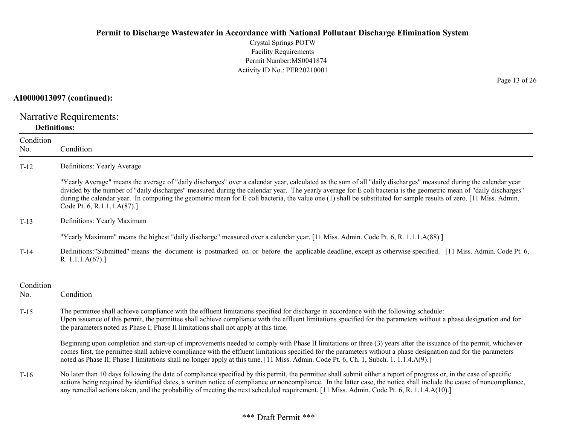Crystal Springs POTW Facility Requirements Permit Number:MS0041874 Activity ID No.: PER20210001

### AI0000013097 (continued):

Narrative Requirements: Definitions:

| Condition<br>No. | Condition                                                                                                                                                                                                                                                                                                                                                                                                                                                                                                                                  |
|------------------|--------------------------------------------------------------------------------------------------------------------------------------------------------------------------------------------------------------------------------------------------------------------------------------------------------------------------------------------------------------------------------------------------------------------------------------------------------------------------------------------------------------------------------------------|
| $T-12$           | Definitions: Yearly Average                                                                                                                                                                                                                                                                                                                                                                                                                                                                                                                |
|                  | "Yearly Average" means the average of "daily discharges" over a calendar year, calculated as the sum of all "daily discharges" measured during the calendar year<br>divided by the number of "daily discharges" measured during the calendar year. The yearly average for E coli bacteria is the geometric mean of "daily discharges"<br>during the calendar year. In computing the geometric mean for E coli bacteria, the value one (1) shall be substituted for sample results of zero. [11 Miss. Admin.<br>Code Pt. 6, R.1.1.1.A(87).] |
| $T-13$           | Definitions: Yearly Maximum                                                                                                                                                                                                                                                                                                                                                                                                                                                                                                                |
|                  | "Yearly Maximum" means the highest "daily discharge" measured over a calendar year. [11 Miss. Admin. Code Pt. 6, R. 1.1.1.A(88).]                                                                                                                                                                                                                                                                                                                                                                                                          |
| $T-14$           | Definitions:"Submitted" means the document is postmarked on or before the applicable deadline, except as otherwise specified. [11 Miss. Admin. Code Pt. 6,<br>R. 1.1.1. $A(67)$ .]                                                                                                                                                                                                                                                                                                                                                         |
| Condition<br>No. | Condition                                                                                                                                                                                                                                                                                                                                                                                                                                                                                                                                  |
| $T-15$           | The permittee shall achieve compliance with the effluent limitations specified for discharge in accordance with the following schedule:<br>Upon issuance of this permit, the permittee shall achieve compliance with the effluent limitations specified for the parameters without a phase designation and for<br>the parameters noted as Phase I; Phase II limitations shall not apply at this time.                                                                                                                                      |
|                  | Beginning upon completion and start-up of improvements needed to comply with Phase II limitations or three (3) years after the issuance of the permit, whichever<br>comes first, the permittee shall achieve compliance with the effluent limitations specified for the parameters without a phase designation and for the parameters<br>noted as Phase II; Phase I limitations shall no longer apply at this time. [11 Miss. Admin. Code Pt. 6, Ch. 1, Subch. 1. 1.1.4.A(9).]                                                             |
| $T-16$           | No later than 10 days following the date of compliance specified by this permit, the permittee shall submit either a report of progress or, in the case of specific<br>actions being required by identified dates, a written notice of compliance or noncompliance. In the latter case, the notice shall include the cause of noncompliance,<br>any remedial actions taken, and the probability of meeting the next scheduled requirement. [11 Miss. Admin. Code Pt. 6, R. 1.1.4.A(10).]                                                   |

Page 13 of 26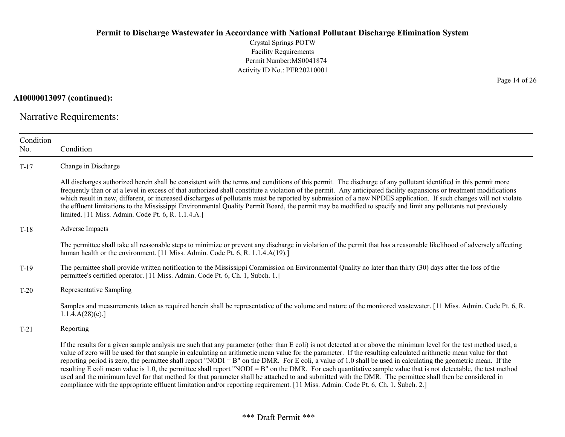Crystal Springs POTW Facility Requirements Permit Number:MS0041874 Activity ID No.: PER20210001

AI0000013097 (continued):

Narrative Requirements:

| Condition<br>No. | Condition                                                                                                                                                                                                                                                                                                                                                                                                                                                                                                                                                                                                                                                                                                                                                                                                                                                                                                                                                                      |
|------------------|--------------------------------------------------------------------------------------------------------------------------------------------------------------------------------------------------------------------------------------------------------------------------------------------------------------------------------------------------------------------------------------------------------------------------------------------------------------------------------------------------------------------------------------------------------------------------------------------------------------------------------------------------------------------------------------------------------------------------------------------------------------------------------------------------------------------------------------------------------------------------------------------------------------------------------------------------------------------------------|
| $T-17$           | Change in Discharge                                                                                                                                                                                                                                                                                                                                                                                                                                                                                                                                                                                                                                                                                                                                                                                                                                                                                                                                                            |
|                  | All discharges authorized herein shall be consistent with the terms and conditions of this permit. The discharge of any pollutant identified in this permit more<br>frequently than or at a level in excess of that authorized shall constitute a violation of the permit. Any anticipated facility expansions or treatment modifications<br>which result in new, different, or increased discharges of pollutants must be reported by submission of a new NPDES application. If such changes will not violate<br>the effluent limitations to the Mississippi Environmental Quality Permit Board, the permit may be modified to specify and limit any pollutants not previously<br>limited. [11 Miss. Admin. Code Pt. 6, R. 1.1.4.A.]                                                                                                                                                                                                                                          |
| $T-18$           | Adverse Impacts                                                                                                                                                                                                                                                                                                                                                                                                                                                                                                                                                                                                                                                                                                                                                                                                                                                                                                                                                                |
|                  | The permittee shall take all reasonable steps to minimize or prevent any discharge in violation of the permit that has a reasonable likelihood of adversely affecting<br>human health or the environment. [11 Miss. Admin. Code Pt. 6, R. 1.1.4.A(19).]                                                                                                                                                                                                                                                                                                                                                                                                                                                                                                                                                                                                                                                                                                                        |
| $T-19$           | The permittee shall provide written notification to the Mississippi Commission on Environmental Quality no later than thirty (30) days after the loss of the<br>permittee's certified operator. [11 Miss. Admin. Code Pt. 6, Ch. 1, Subch. 1.]                                                                                                                                                                                                                                                                                                                                                                                                                                                                                                                                                                                                                                                                                                                                 |
| $T-20$           | Representative Sampling                                                                                                                                                                                                                                                                                                                                                                                                                                                                                                                                                                                                                                                                                                                                                                                                                                                                                                                                                        |
|                  | Samples and measurements taken as required herein shall be representative of the volume and nature of the monitored wastewater. [11 Miss. Admin. Code Pt. 6, R.<br>1.1.4.A(28)(e).                                                                                                                                                                                                                                                                                                                                                                                                                                                                                                                                                                                                                                                                                                                                                                                             |
| $T-21$           | Reporting                                                                                                                                                                                                                                                                                                                                                                                                                                                                                                                                                                                                                                                                                                                                                                                                                                                                                                                                                                      |
|                  | If the results for a given sample analysis are such that any parameter (other than E coli) is not detected at or above the minimum level for the test method used, a<br>value of zero will be used for that sample in calculating an arithmetic mean value for the parameter. If the resulting calculated arithmetic mean value for that<br>reporting period is zero, the permittee shall report "NODI = B" on the DMR. For E coli, a value of 1.0 shall be used in calculating the geometric mean. If the<br>resulting E coli mean value is 1.0, the permittee shall report "NODI = B" on the DMR. For each quantitative sample value that is not detectable, the test method<br>used and the minimum level for that method for that parameter shall be attached to and submitted with the DMR. The permittee shall then be considered in<br>compliance with the appropriate effluent limitation and/or reporting requirement. [11 Miss. Admin. Code Pt. 6, Ch. 1, Subch. 2.] |

Page 14 of 26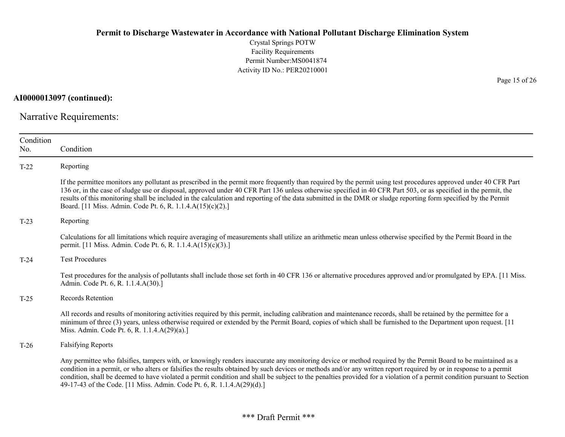Crystal Springs POTW Facility Requirements Permit Number:MS0041874 Activity ID No.: PER20210001

AI0000013097 (continued):

Narrative Requirements:

| Condition<br>No. | Condition                                                                                                                                                                                                                                                                                                                                                                                                                                                                                                                                                                                |
|------------------|------------------------------------------------------------------------------------------------------------------------------------------------------------------------------------------------------------------------------------------------------------------------------------------------------------------------------------------------------------------------------------------------------------------------------------------------------------------------------------------------------------------------------------------------------------------------------------------|
| $T-22$           | Reporting                                                                                                                                                                                                                                                                                                                                                                                                                                                                                                                                                                                |
|                  | If the permittee monitors any pollutant as prescribed in the permit more frequently than required by the permit using test procedures approved under 40 CFR Part<br>136 or, in the case of sludge use or disposal, approved under 40 CFR Part 136 unless otherwise specified in 40 CFR Part 503, or as specified in the permit, the<br>results of this monitoring shall be included in the calculation and reporting of the data submitted in the DMR or sludge reporting form specified by the Permit<br>Board. [11 Miss. Admin. Code Pt. 6, R. 1.1.4.A(15)(c)(2).]                     |
| $T-23$           | Reporting                                                                                                                                                                                                                                                                                                                                                                                                                                                                                                                                                                                |
|                  | Calculations for all limitations which require averaging of measurements shall utilize an arithmetic mean unless otherwise specified by the Permit Board in the<br>permit. [11 Miss. Admin. Code Pt. 6, R. 1.1.4.A(15)(c)(3).]                                                                                                                                                                                                                                                                                                                                                           |
| $T-24$           | <b>Test Procedures</b>                                                                                                                                                                                                                                                                                                                                                                                                                                                                                                                                                                   |
|                  | Test procedures for the analysis of pollutants shall include those set forth in 40 CFR 136 or alternative procedures approved and/or promulgated by EPA. [11 Miss.]<br>Admin. Code Pt. 6, R. 1.1.4.A(30).]                                                                                                                                                                                                                                                                                                                                                                               |
| $T-25$           | Records Retention                                                                                                                                                                                                                                                                                                                                                                                                                                                                                                                                                                        |
|                  | All records and results of monitoring activities required by this permit, including calibration and maintenance records, shall be retained by the permittee for a<br>minimum of three (3) years, unless otherwise required or extended by the Permit Board, copies of which shall be furnished to the Department upon request. [11]<br>Miss. Admin. Code Pt. 6, R. 1.1.4.A(29)(a).]                                                                                                                                                                                                      |
| $T-26$           | <b>Falsifying Reports</b>                                                                                                                                                                                                                                                                                                                                                                                                                                                                                                                                                                |
|                  | Any permittee who falsifies, tampers with, or knowingly renders inaccurate any monitoring device or method required by the Permit Board to be maintained as a<br>condition in a permit, or who alters or falsifies the results obtained by such devices or methods and/or any written report required by or in response to a permit<br>condition, shall be deemed to have violated a permit condition and shall be subject to the penalties provided for a violation of a permit condition pursuant to Section<br>49-17-43 of the Code. [11 Miss. Admin. Code Pt. 6, R. 1.1.4.A(29)(d).] |

Page 15 of 26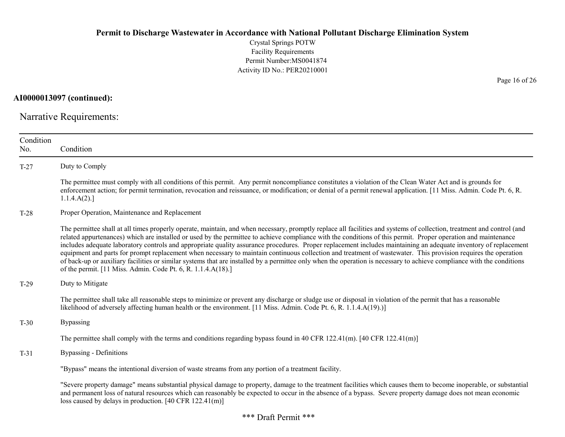Crystal Springs POTW Facility Requirements Permit Number:MS0041874 Activity ID No.: PER20210001

AI0000013097 (continued):

Narrative Requirements:

| Condition<br>No. | Condition                                                                                                                                                                                                                                                                                                                                                                                                                                                                                                                                                                                                                                                                                                                                                                                                                                                                                                                |
|------------------|--------------------------------------------------------------------------------------------------------------------------------------------------------------------------------------------------------------------------------------------------------------------------------------------------------------------------------------------------------------------------------------------------------------------------------------------------------------------------------------------------------------------------------------------------------------------------------------------------------------------------------------------------------------------------------------------------------------------------------------------------------------------------------------------------------------------------------------------------------------------------------------------------------------------------|
| $T-27$           | Duty to Comply                                                                                                                                                                                                                                                                                                                                                                                                                                                                                                                                                                                                                                                                                                                                                                                                                                                                                                           |
|                  | The permittee must comply with all conditions of this permit. Any permit noncompliance constitutes a violation of the Clean Water Act and is grounds for<br>enforcement action; for permit termination, revocation and reissuance, or modification; or denial of a permit renewal application. [11 Miss. Admin. Code Pt. 6, R.<br>1.1.4.A(2).                                                                                                                                                                                                                                                                                                                                                                                                                                                                                                                                                                            |
| $T-28$           | Proper Operation, Maintenance and Replacement                                                                                                                                                                                                                                                                                                                                                                                                                                                                                                                                                                                                                                                                                                                                                                                                                                                                            |
|                  | The permittee shall at all times properly operate, maintain, and when necessary, promptly replace all facilities and systems of collection, treatment and control (and<br>related appurtenances) which are installed or used by the permittee to achieve compliance with the conditions of this permit. Proper operation and maintenance<br>includes adequate laboratory controls and appropriate quality assurance procedures. Proper replacement includes maintaining an adequate inventory of replacement<br>equipment and parts for prompt replacement when necessary to maintain continuous collection and treatment of wastewater. This provision requires the operation<br>of back-up or auxiliary facilities or similar systems that are installed by a permittee only when the operation is necessary to achieve compliance with the conditions<br>of the permit. [11 Miss. Admin. Code Pt. 6, R. 1.1.4.A(18).] |
| $T-29$           | Duty to Mitigate                                                                                                                                                                                                                                                                                                                                                                                                                                                                                                                                                                                                                                                                                                                                                                                                                                                                                                         |
|                  | The permittee shall take all reasonable steps to minimize or prevent any discharge or sludge use or disposal in violation of the permit that has a reasonable<br>likelihood of adversely affecting human health or the environment. [11 Miss. Admin. Code Pt. 6, R. 1.1.4.A(19).)]                                                                                                                                                                                                                                                                                                                                                                                                                                                                                                                                                                                                                                       |
| $T-30$           | Bypassing                                                                                                                                                                                                                                                                                                                                                                                                                                                                                                                                                                                                                                                                                                                                                                                                                                                                                                                |
|                  | The permittee shall comply with the terms and conditions regarding bypass found in 40 CFR 122.41(m). [40 CFR 122.41(m)]                                                                                                                                                                                                                                                                                                                                                                                                                                                                                                                                                                                                                                                                                                                                                                                                  |
| $T-31$           | <b>Bypassing - Definitions</b>                                                                                                                                                                                                                                                                                                                                                                                                                                                                                                                                                                                                                                                                                                                                                                                                                                                                                           |
|                  | "Bypass" means the intentional diversion of waste streams from any portion of a treatment facility.                                                                                                                                                                                                                                                                                                                                                                                                                                                                                                                                                                                                                                                                                                                                                                                                                      |
|                  | "Severe property damage" means substantial physical damage to property, damage to the treatment facilities which causes them to become inoperable, or substantial<br>and permanent loss of natural resources which can reasonably be expected to occur in the absence of a bypass. Severe property damage does not mean economic<br>loss caused by delays in production. $[40 \text{ CFR } 122.41 \text{ (m)}]$                                                                                                                                                                                                                                                                                                                                                                                                                                                                                                          |

Page 16 of 26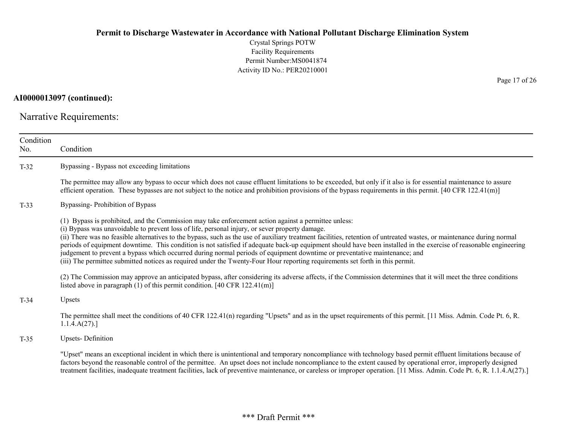Crystal Springs POTW Facility Requirements Permit Number:MS0041874 Activity ID No.: PER20210001

AI0000013097 (continued):

Narrative Requirements:

| Condition<br>No. | Condition                                                                                                                                                                                                                                                                                                                                                                                                                                                                                                                                                                                                                                                                                                                                                                                                                                                                                                                                                                                                                                                              |
|------------------|------------------------------------------------------------------------------------------------------------------------------------------------------------------------------------------------------------------------------------------------------------------------------------------------------------------------------------------------------------------------------------------------------------------------------------------------------------------------------------------------------------------------------------------------------------------------------------------------------------------------------------------------------------------------------------------------------------------------------------------------------------------------------------------------------------------------------------------------------------------------------------------------------------------------------------------------------------------------------------------------------------------------------------------------------------------------|
| $T-32$           | Bypassing - Bypass not exceeding limitations                                                                                                                                                                                                                                                                                                                                                                                                                                                                                                                                                                                                                                                                                                                                                                                                                                                                                                                                                                                                                           |
|                  | The permittee may allow any bypass to occur which does not cause effluent limitations to be exceeded, but only if it also is for essential maintenance to assure<br>efficient operation. These bypasses are not subject to the notice and prohibition provisions of the bypass requirements in this permit. $[40 \text{ CFR } 122.41 \text{m}]$                                                                                                                                                                                                                                                                                                                                                                                                                                                                                                                                                                                                                                                                                                                        |
| $T-33$           | Bypassing-Prohibition of Bypass                                                                                                                                                                                                                                                                                                                                                                                                                                                                                                                                                                                                                                                                                                                                                                                                                                                                                                                                                                                                                                        |
|                  | (1) Bypass is prohibited, and the Commission may take enforcement action against a permittee unless:<br>(i) Bypass was unavoidable to prevent loss of life, personal injury, or sever property damage.<br>(ii) There was no feasible alternatives to the bypass, such as the use of auxiliary treatment facilities, retention of untreated wastes, or maintenance during normal<br>periods of equipment downtime. This condition is not satisfied if adequate back-up equipment should have been installed in the exercise of reasonable engineering<br>judgement to prevent a bypass which occurred during normal periods of equipment downtime or preventative maintenance; and<br>(iii) The permittee submitted notices as required under the Twenty-Four Hour reporting requirements set forth in this permit.<br>(2) The Commission may approve an anticipated bypass, after considering its adverse affects, if the Commission determines that it will meet the three conditions<br>listed above in paragraph $(1)$ of this permit condition. [40 CFR 122.41(m)] |
| $T-34$           | Upsets                                                                                                                                                                                                                                                                                                                                                                                                                                                                                                                                                                                                                                                                                                                                                                                                                                                                                                                                                                                                                                                                 |
|                  | The permittee shall meet the conditions of 40 CFR 122.41(n) regarding "Upsets" and as in the upset requirements of this permit. [11 Miss. Admin. Code Pt. 6, R.<br>1.1.4.A(27).                                                                                                                                                                                                                                                                                                                                                                                                                                                                                                                                                                                                                                                                                                                                                                                                                                                                                        |
| $T-35$           | <b>Upsets-Definition</b>                                                                                                                                                                                                                                                                                                                                                                                                                                                                                                                                                                                                                                                                                                                                                                                                                                                                                                                                                                                                                                               |
|                  | "Upset" means an exceptional incident in which there is unintentional and temporary noncompliance with technology based permit effluent limitations because of<br>factors beyond the reasonable control of the permittee. An upset does not include noncompliance to the extent caused by operational error, improperly designed<br>treatment facilities, inadequate treatment facilities, lack of preventive maintenance, or careless or improper operation. [11 Miss. Admin. Code Pt. 6, R. 1.1.4.A(27).]                                                                                                                                                                                                                                                                                                                                                                                                                                                                                                                                                            |

Page 17 of 26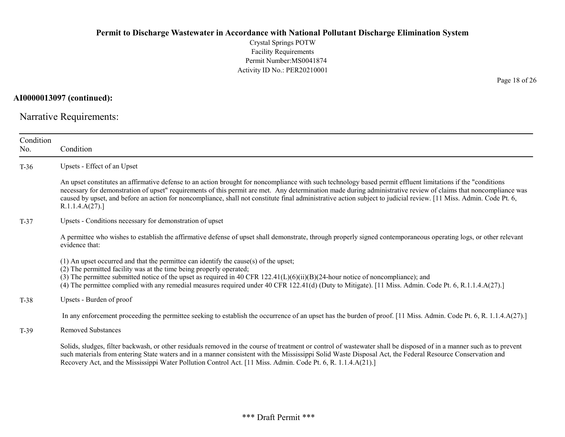Crystal Springs POTW Facility Requirements Permit Number:MS0041874 Activity ID No.: PER20210001

AI0000013097 (continued):

Narrative Requirements:

| Condition<br>No. | Condition                                                                                                                                                                                                                                                                                                                                                                                                                                                                                                               |
|------------------|-------------------------------------------------------------------------------------------------------------------------------------------------------------------------------------------------------------------------------------------------------------------------------------------------------------------------------------------------------------------------------------------------------------------------------------------------------------------------------------------------------------------------|
| $T-36$           | Upsets - Effect of an Upset                                                                                                                                                                                                                                                                                                                                                                                                                                                                                             |
|                  | An upset constitutes an affirmative defense to an action brought for noncompliance with such technology based permit effluent limitations if the "conditions<br>necessary for demonstration of upset" requirements of this permit are met. Any determination made during administrative review of claims that noncompliance was<br>caused by upset, and before an action for noncompliance, shall not constitute final administrative action subject to judicial review. [11 Miss. Admin. Code Pt. 6,<br>R.1.1.4.A(27). |
| $T-37$           | Upsets - Conditions necessary for demonstration of upset                                                                                                                                                                                                                                                                                                                                                                                                                                                                |
|                  | A permittee who wishes to establish the affirmative defense of upset shall demonstrate, through properly signed contemporaneous operating logs, or other relevant<br>evidence that:                                                                                                                                                                                                                                                                                                                                     |
|                  | $(1)$ An upset occurred and that the permittee can identify the cause(s) of the upset;<br>(2) The permitted facility was at the time being properly operated;<br>(3) The permittee submitted notice of the upset as required in 40 CFR $122.41(L)(6)(ii)(B)(24$ -hour notice of noncompliance); and<br>(4) The permittee complied with any remedial measures required under 40 CFR 122.41(d) (Duty to Mitigate). [11 Miss. Admin. Code Pt. 6, R.1.1.4.A(27).]                                                           |
| $T-38$           | Upsets - Burden of proof                                                                                                                                                                                                                                                                                                                                                                                                                                                                                                |
|                  | In any enforcement proceeding the permittee seeking to establish the occurrence of an upset has the burden of proof. [11 Miss. Admin. Code Pt. 6, R. 1.1.4.A(27).]                                                                                                                                                                                                                                                                                                                                                      |
| $T-39$           | <b>Removed Substances</b>                                                                                                                                                                                                                                                                                                                                                                                                                                                                                               |
|                  | Solids, sludges, filter backwash, or other residuals removed in the course of treatment or control of wastewater shall be disposed of in a manner such as to prevent<br>such materials from entering State waters and in a manner consistent with the Mississippi Solid Waste Disposal Act, the Federal Resource Conservation and<br>Recovery Act, and the Mississippi Water Pollution Control Act. [11 Miss. Admin. Code Pt. 6, R. 1.1.4.A(21).]                                                                       |

Page 18 of 26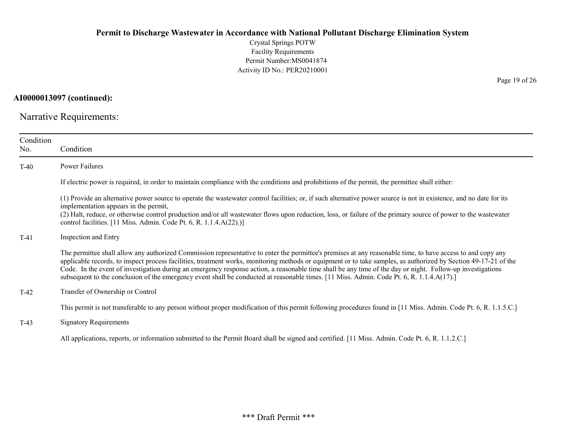Crystal Springs POTW Facility Requirements Permit Number:MS0041874 Activity ID No.: PER20210001

AI0000013097 (continued):

Narrative Requirements:

| Condition<br>No. | Condition                                                                                                                                                                                                                                                                                                                                                                                                                                                                                                                                                                                                                                  |
|------------------|--------------------------------------------------------------------------------------------------------------------------------------------------------------------------------------------------------------------------------------------------------------------------------------------------------------------------------------------------------------------------------------------------------------------------------------------------------------------------------------------------------------------------------------------------------------------------------------------------------------------------------------------|
| $T-40$           | Power Failures                                                                                                                                                                                                                                                                                                                                                                                                                                                                                                                                                                                                                             |
|                  | If electric power is required, in order to maintain compliance with the conditions and prohibitions of the permit, the permittee shall either:                                                                                                                                                                                                                                                                                                                                                                                                                                                                                             |
|                  | (1) Provide an alternative power source to operate the wastewater control facilities; or, if such alternative power source is not in existence, and no date for its<br>implementation appears in the permit,<br>(2) Halt, reduce, or otherwise control production and/or all wastewater flows upon reduction, loss, or failure of the primary source of power to the wastewater<br>control facilities. [11 Miss. Admin. Code Pt. 6, R. 1.1.4.A(22).)]                                                                                                                                                                                      |
| $T-41$           | <b>Inspection and Entry</b>                                                                                                                                                                                                                                                                                                                                                                                                                                                                                                                                                                                                                |
|                  | The permittee shall allow any authorized Commission representative to enter the permittee's premises at any reasonable time, to have access to and copy any<br>applicable records, to inspect process facilities, treatment works, monitoring methods or equipment or to take samples, as authorized by Section 49-17-21 of the<br>Code. In the event of investigation during an emergency response action, a reasonable time shall be any time of the day or night. Follow-up investigations<br>subsequent to the conclusion of the emergency event shall be conducted at reasonable times. [11 Miss. Admin. Code Pt. 6, R. 1.1.4.A(17).] |
| $T-42$           | Transfer of Ownership or Control                                                                                                                                                                                                                                                                                                                                                                                                                                                                                                                                                                                                           |
|                  | This permit is not transferable to any person without proper modification of this permit following procedures found in [11 Miss. Admin. Code Pt. 6, R. 1.1.5.C.]                                                                                                                                                                                                                                                                                                                                                                                                                                                                           |
| $T-43$           | <b>Signatory Requirements</b>                                                                                                                                                                                                                                                                                                                                                                                                                                                                                                                                                                                                              |
|                  | All applications, reports, or information submitted to the Permit Board shall be signed and certified. [11 Miss. Admin. Code Pt. 6, R. 1.1.2.C.]                                                                                                                                                                                                                                                                                                                                                                                                                                                                                           |

Page 19 of 26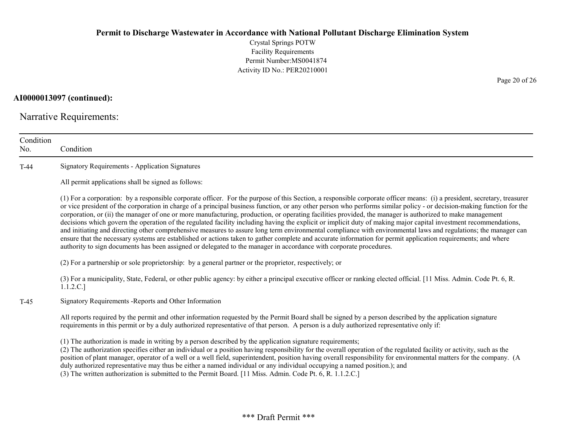Crystal Springs POTW Facility Requirements Permit Number:MS0041874 Activity ID No.: PER20210001

AI0000013097 (continued):

Narrative Requirements:

| Condition<br>No. | Condition                                                                                                                                                                                                                                                                                                                                                                                                                                                                                                                                                                                                                                                                                                                                                                                                                                                                                                                                                                                                                                                                                                                                      |
|------------------|------------------------------------------------------------------------------------------------------------------------------------------------------------------------------------------------------------------------------------------------------------------------------------------------------------------------------------------------------------------------------------------------------------------------------------------------------------------------------------------------------------------------------------------------------------------------------------------------------------------------------------------------------------------------------------------------------------------------------------------------------------------------------------------------------------------------------------------------------------------------------------------------------------------------------------------------------------------------------------------------------------------------------------------------------------------------------------------------------------------------------------------------|
| $T-44$           | <b>Signatory Requirements - Application Signatures</b>                                                                                                                                                                                                                                                                                                                                                                                                                                                                                                                                                                                                                                                                                                                                                                                                                                                                                                                                                                                                                                                                                         |
|                  | All permit applications shall be signed as follows:                                                                                                                                                                                                                                                                                                                                                                                                                                                                                                                                                                                                                                                                                                                                                                                                                                                                                                                                                                                                                                                                                            |
|                  | (1) For a corporation: by a responsible corporate officer. For the purpose of this Section, a responsible corporate officer means: (i) a president, secretary, treasurer<br>or vice president of the corporation in charge of a principal business function, or any other person who performs similar policy - or decision-making function for the<br>corporation, or (ii) the manager of one or more manufacturing, production, or operating facilities provided, the manager is authorized to make management<br>decisions which govern the operation of the regulated facility including having the explicit or implicit duty of making major capital investment recommendations,<br>and initiating and directing other comprehensive measures to assure long term environmental compliance with environmental laws and regulations; the manager can<br>ensure that the necessary systems are established or actions taken to gather complete and accurate information for permit application requirements; and where<br>authority to sign documents has been assigned or delegated to the manager in accordance with corporate procedures. |
|                  | (2) For a partnership or sole proprietorship: by a general partner or the proprietor, respectively; or                                                                                                                                                                                                                                                                                                                                                                                                                                                                                                                                                                                                                                                                                                                                                                                                                                                                                                                                                                                                                                         |
|                  | (3) For a municipality, State, Federal, or other public agency: by either a principal executive officer or ranking elected official. [11 Miss. Admin. Code Pt. 6, R.<br>1.1.2.C.]                                                                                                                                                                                                                                                                                                                                                                                                                                                                                                                                                                                                                                                                                                                                                                                                                                                                                                                                                              |
| $T-45$           | Signatory Requirements - Reports and Other Information                                                                                                                                                                                                                                                                                                                                                                                                                                                                                                                                                                                                                                                                                                                                                                                                                                                                                                                                                                                                                                                                                         |
|                  | All reports required by the permit and other information requested by the Permit Board shall be signed by a person described by the application signature<br>requirements in this permit or by a duly authorized representative of that person. A person is a duly authorized representative only if:                                                                                                                                                                                                                                                                                                                                                                                                                                                                                                                                                                                                                                                                                                                                                                                                                                          |
|                  | (1) The authorization is made in writing by a person described by the application signature requirements;<br>(2) The authorization specifies either an individual or a position having responsibility for the overall operation of the regulated facility or activity, such as the<br>position of plant manager, operator of a well or a well field, superintendent, position having overall responsibility for environmental matters for the company. (A<br>duly authorized representative may thus be either a named individual or any individual occupying a named position.); and<br>(3) The written authorization is submitted to the Permit Board. [11 Miss. Admin. Code Pt. 6, R. 1.1.2.C.]                                                                                                                                                                                                                                                                                                                                                                                                                                             |

Page 20 of 26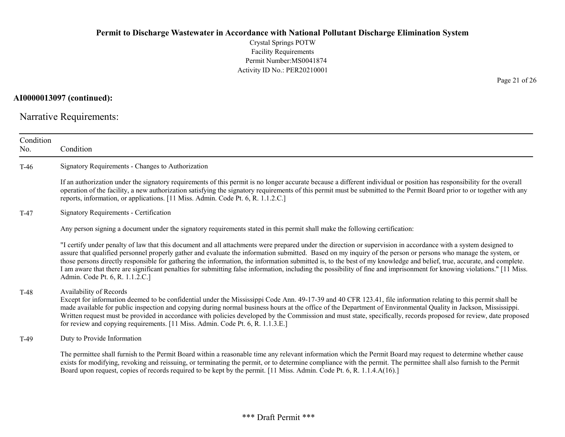Crystal Springs POTW Facility Requirements Permit Number:MS0041874 Activity ID No.: PER20210001

AI0000013097 (continued):

Narrative Requirements:

| Condition<br>No. | Condition                                                                                                                                                                                                                                                                                                                                                                                                                                                                                                                                                                                                                                                                                                                |
|------------------|--------------------------------------------------------------------------------------------------------------------------------------------------------------------------------------------------------------------------------------------------------------------------------------------------------------------------------------------------------------------------------------------------------------------------------------------------------------------------------------------------------------------------------------------------------------------------------------------------------------------------------------------------------------------------------------------------------------------------|
| $T-46$           | Signatory Requirements - Changes to Authorization                                                                                                                                                                                                                                                                                                                                                                                                                                                                                                                                                                                                                                                                        |
|                  | If an authorization under the signatory requirements of this permit is no longer accurate because a different individual or position has responsibility for the overall<br>operation of the facility, a new authorization satisfying the signatory requirements of this permit must be submitted to the Permit Board prior to or together with any<br>reports, information, or applications. [11 Miss. Admin. Code Pt. 6, R. 1.1.2.C.]                                                                                                                                                                                                                                                                                   |
| $T-47$           | <b>Signatory Requirements - Certification</b>                                                                                                                                                                                                                                                                                                                                                                                                                                                                                                                                                                                                                                                                            |
|                  | Any person signing a document under the signatory requirements stated in this permit shall make the following certification:                                                                                                                                                                                                                                                                                                                                                                                                                                                                                                                                                                                             |
|                  | "I certify under penalty of law that this document and all attachments were prepared under the direction or supervision in accordance with a system designed to<br>assure that qualified personnel properly gather and evaluate the information submitted. Based on my inquiry of the person or persons who manage the system, or<br>those persons directly responsible for gathering the information, the information submitted is, to the best of my knowledge and belief, true, accurate, and complete.<br>I am aware that there are significant penalties for submitting false information, including the possibility of fine and imprisonment for knowing violations." [11 Miss.<br>Admin. Code Pt. 6, R. 1.1.2.C.] |
| $T-48$           | Availability of Records<br>Except for information deemed to be confidential under the Mississippi Code Ann. 49-17-39 and 40 CFR 123.41, file information relating to this permit shall be<br>made available for public inspection and copying during normal business hours at the office of the Department of Environmental Quality in Jackson, Mississippi.<br>Written request must be provided in accordance with policies developed by the Commission and must state, specifically, records proposed for review, date proposed<br>for review and copying requirements. [11 Miss. Admin. Code Pt. 6, R. 1.1.3.E.]                                                                                                      |
| $T-49$           | Duty to Provide Information                                                                                                                                                                                                                                                                                                                                                                                                                                                                                                                                                                                                                                                                                              |
|                  | The permittee shall furnish to the Permit Board within a reasonable time any relevant information which the Permit Board may request to determine whether cause<br>exists for modifying, revoking and reissuing, or terminating the permit, or to determine compliance with the permit. The permittee shall also furnish to the Permit<br>Board upon request, copies of records required to be kept by the permit. [11 Miss. Admin. Code Pt. 6, R. 1.1.4.A(16).]                                                                                                                                                                                                                                                         |

Page 21 of 26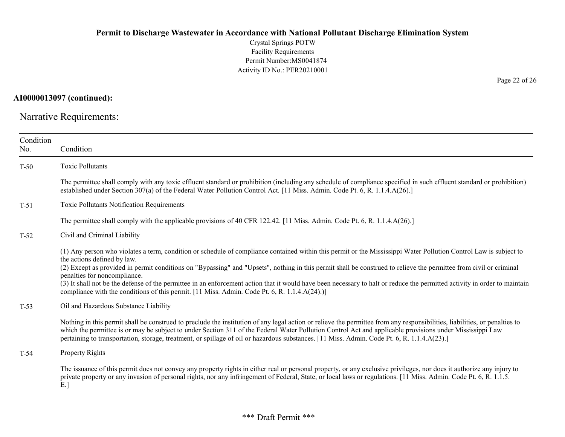Crystal Springs POTW Facility Requirements Permit Number:MS0041874 Activity ID No.: PER20210001

AI0000013097 (continued):

Narrative Requirements:

| Condition<br>No. | Condition                                                                                                                                                                                                                                                                                                                                                                                                                                                                                                                                                                                                                                                                            |
|------------------|--------------------------------------------------------------------------------------------------------------------------------------------------------------------------------------------------------------------------------------------------------------------------------------------------------------------------------------------------------------------------------------------------------------------------------------------------------------------------------------------------------------------------------------------------------------------------------------------------------------------------------------------------------------------------------------|
| $T-50$           | <b>Toxic Pollutants</b>                                                                                                                                                                                                                                                                                                                                                                                                                                                                                                                                                                                                                                                              |
|                  | The permittee shall comply with any toxic effluent standard or prohibition (including any schedule of compliance specified in such effluent standard or prohibition)<br>established under Section 307(a) of the Federal Water Pollution Control Act. [11 Miss. Admin. Code Pt. 6, R. 1.1.4.A(26).]                                                                                                                                                                                                                                                                                                                                                                                   |
| $T-51$           | Toxic Pollutants Notification Requirements                                                                                                                                                                                                                                                                                                                                                                                                                                                                                                                                                                                                                                           |
|                  | The permittee shall comply with the applicable provisions of 40 CFR 122.42. [11 Miss. Admin. Code Pt. 6, R. 1.1.4.A(26).]                                                                                                                                                                                                                                                                                                                                                                                                                                                                                                                                                            |
| $T-52$           | Civil and Criminal Liability                                                                                                                                                                                                                                                                                                                                                                                                                                                                                                                                                                                                                                                         |
|                  | (1) Any person who violates a term, condition or schedule of compliance contained within this permit or the Mississippi Water Pollution Control Law is subject to<br>the actions defined by law.<br>(2) Except as provided in permit conditions on "Bypassing" and "Upsets", nothing in this permit shall be construed to relieve the permittee from civil or criminal<br>penalties for noncompliance.<br>(3) It shall not be the defense of the permittee in an enforcement action that it would have been necessary to halt or reduce the permitted activity in order to maintain<br>compliance with the conditions of this permit. [11 Miss. Admin. Code Pt. 6, R. 1.1.4.A(24).)] |
| $T-53$           | Oil and Hazardous Substance Liability                                                                                                                                                                                                                                                                                                                                                                                                                                                                                                                                                                                                                                                |
|                  | Nothing in this permit shall be construed to preclude the institution of any legal action or relieve the permittee from any responsibilities, liabilities, or penalties to<br>which the permittee is or may be subject to under Section 311 of the Federal Water Pollution Control Act and applicable provisions under Mississippi Law<br>pertaining to transportation, storage, treatment, or spillage of oil or hazardous substances. [11 Miss. Admin. Code Pt. 6, R. 1.1.4.A(23).]                                                                                                                                                                                                |
| $T-54$           | Property Rights                                                                                                                                                                                                                                                                                                                                                                                                                                                                                                                                                                                                                                                                      |
|                  | The issuance of this permit does not convey any property rights in either real or personal property, or any exclusive privileges, nor does it authorize any injury to<br>private property or any invasion of personal rights, nor any infringement of Federal, State, or local laws or regulations. [11 Miss. Admin. Code Pt. 6, R. 1.1.5.<br>$E.$ ]                                                                                                                                                                                                                                                                                                                                 |

Page 22 of 26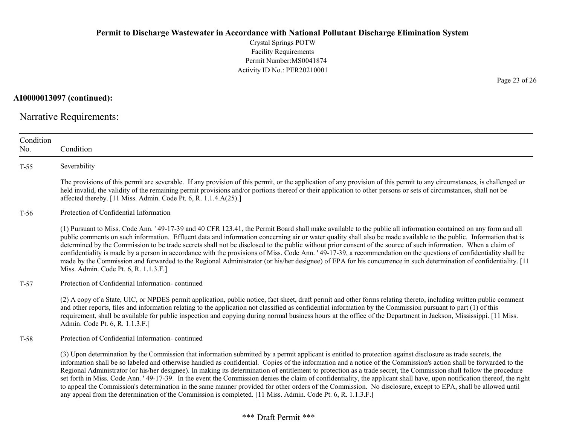Crystal Springs POTW Facility Requirements Permit Number:MS0041874 Activity ID No.: PER20210001

AI0000013097 (continued):

Narrative Requirements:

| Condition<br>No. | Condition                                                                                                                                                                                                                                                                                                                                                                                                                                                                                                                                                                                                                                                                                                                                                                                                                                                                                                                                                            |
|------------------|----------------------------------------------------------------------------------------------------------------------------------------------------------------------------------------------------------------------------------------------------------------------------------------------------------------------------------------------------------------------------------------------------------------------------------------------------------------------------------------------------------------------------------------------------------------------------------------------------------------------------------------------------------------------------------------------------------------------------------------------------------------------------------------------------------------------------------------------------------------------------------------------------------------------------------------------------------------------|
| $T-55$           | Severability                                                                                                                                                                                                                                                                                                                                                                                                                                                                                                                                                                                                                                                                                                                                                                                                                                                                                                                                                         |
|                  | The provisions of this permit are severable. If any provision of this permit, or the application of any provision of this permit to any circumstances, is challenged or<br>held invalid, the validity of the remaining permit provisions and/or portions thereof or their application to other persons or sets of circumstances, shall not be<br>affected thereby. [11 Miss. Admin. Code Pt. 6, R. 1.1.4.A(25).]                                                                                                                                                                                                                                                                                                                                                                                                                                                                                                                                                     |
| $T-56$           | Protection of Confidential Information                                                                                                                                                                                                                                                                                                                                                                                                                                                                                                                                                                                                                                                                                                                                                                                                                                                                                                                               |
|                  | (1) Pursuant to Miss. Code Ann. '49-17-39 and 40 CFR 123.41, the Permit Board shall make available to the public all information contained on any form and all<br>public comments on such information. Effluent data and information concerning air or water quality shall also be made available to the public. Information that is<br>determined by the Commission to be trade secrets shall not be disclosed to the public without prior consent of the source of such information. When a claim of<br>confidentiality is made by a person in accordance with the provisions of Miss. Code Ann. '49-17-39, a recommendation on the questions of confidentiality shall be<br>made by the Commission and forwarded to the Regional Administrator (or his/her designee) of EPA for his concurrence in such determination of confidentiality. [11]<br>Miss. Admin. Code Pt. 6, R. 1.1.3.F.]                                                                           |
| $T-57$           | Protection of Confidential Information-continued                                                                                                                                                                                                                                                                                                                                                                                                                                                                                                                                                                                                                                                                                                                                                                                                                                                                                                                     |
|                  | (2) A copy of a State, UIC, or NPDES permit application, public notice, fact sheet, draft permit and other forms relating thereto, including written public comment<br>and other reports, files and information relating to the application not classified as confidential information by the Commission pursuant to part (1) of this<br>requirement, shall be available for public inspection and copying during normal business hours at the office of the Department in Jackson, Mississippi. [11 Miss.<br>Admin. Code Pt. 6, R. 1.1.3.F.]                                                                                                                                                                                                                                                                                                                                                                                                                        |
| $T-58$           | Protection of Confidential Information-continued                                                                                                                                                                                                                                                                                                                                                                                                                                                                                                                                                                                                                                                                                                                                                                                                                                                                                                                     |
|                  | (3) Upon determination by the Commission that information submitted by a permit applicant is entitled to protection against disclosure as trade secrets, the<br>information shall be so labeled and otherwise handled as confidential. Copies of the information and a notice of the Commission's action shall be forwarded to the<br>Regional Administrator (or his/her designee). In making its determination of entitlement to protection as a trade secret, the Commission shall follow the procedure<br>set forth in Miss. Code Ann. '49-17-39. In the event the Commission denies the claim of confidentiality, the applicant shall have, upon notification thereof, the right<br>to appeal the Commission's determination in the same manner provided for other orders of the Commission. No disclosure, except to EPA, shall be allowed until<br>any appeal from the determination of the Commission is completed. [11 Miss. Admin. Code Pt. 6, R. 1.1.3.F.] |

#### Page 23 of 26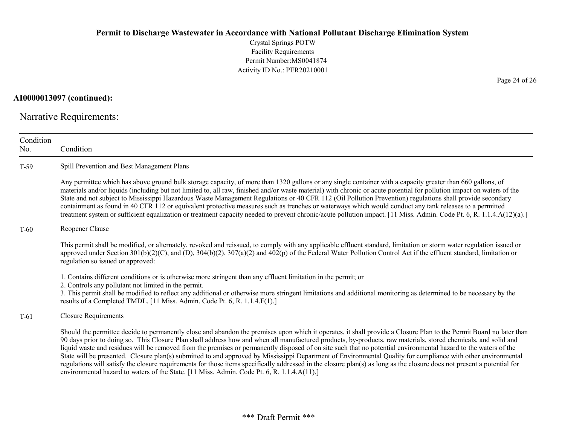Crystal Springs POTW Facility Requirements Permit Number:MS0041874 Activity ID No.: PER20210001

AI0000013097 (continued):

Narrative Requirements:

| Condition<br>No. | Condition                                                                                                                                                                                                                                                                                                                                                                                                                                                                                                                                                                                                                                                                                                                                                                                                                                                                                                                                          |
|------------------|----------------------------------------------------------------------------------------------------------------------------------------------------------------------------------------------------------------------------------------------------------------------------------------------------------------------------------------------------------------------------------------------------------------------------------------------------------------------------------------------------------------------------------------------------------------------------------------------------------------------------------------------------------------------------------------------------------------------------------------------------------------------------------------------------------------------------------------------------------------------------------------------------------------------------------------------------|
| $T-59$           | Spill Prevention and Best Management Plans                                                                                                                                                                                                                                                                                                                                                                                                                                                                                                                                                                                                                                                                                                                                                                                                                                                                                                         |
|                  | Any permittee which has above ground bulk storage capacity, of more than 1320 gallons or any single container with a capacity greater than 660 gallons, of<br>materials and/or liquids (including but not limited to, all raw, finished and/or waste material) with chronic or acute potential for pollution impact on waters of the<br>State and not subject to Mississippi Hazardous Waste Management Regulations or 40 CFR 112 (Oil Pollution Prevention) regulations shall provide secondary<br>containment as found in 40 CFR 112 or equivalent protective measures such as trenches or waterways which would conduct any tank releases to a permitted<br>treatment system or sufficient equalization or treatment capacity needed to prevent chronic/acute pollution impact. [11 Miss. Admin. Code Pt. 6, R. 1.1.4.A(12)(a).]                                                                                                                |
| $T-60$           | Reopener Clause                                                                                                                                                                                                                                                                                                                                                                                                                                                                                                                                                                                                                                                                                                                                                                                                                                                                                                                                    |
|                  | This permit shall be modified, or alternately, revoked and reissued, to comply with any applicable effluent standard, limitation or storm water regulation issued or<br>approved under Section $301(b)(2)(C)$ , and (D), $304(b)(2)$ , $307(a)(2)$ and $402(p)$ of the Federal Water Pollution Control Act if the effluent standard, limitation or<br>regulation so issued or approved:                                                                                                                                                                                                                                                                                                                                                                                                                                                                                                                                                            |
|                  | 1. Contains different conditions or is otherwise more stringent than any effluent limitation in the permit; or<br>2. Controls any pollutant not limited in the permit.<br>3. This permit shall be modified to reflect any additional or otherwise more stringent limitations and additional monitoring as determined to be necessary by the<br>results of a Completed TMDL. [11 Miss. Admin. Code Pt. 6, R. 1.1.4.F(1).]                                                                                                                                                                                                                                                                                                                                                                                                                                                                                                                           |
| $T-61$           | Closure Requirements                                                                                                                                                                                                                                                                                                                                                                                                                                                                                                                                                                                                                                                                                                                                                                                                                                                                                                                               |
|                  | Should the permittee decide to permanently close and abandon the premises upon which it operates, it shall provide a Closure Plan to the Permit Board no later than<br>90 days prior to doing so. This Closure Plan shall address how and when all manufactured products, by-products, raw materials, stored chemicals, and solid and<br>liquid waste and residues will be removed from the premises or permanently disposed of on site such that no potential environmental hazard to the waters of the<br>State will be presented. Closure plan(s) submitted to and approved by Mississippi Department of Environmental Quality for compliance with other environmental<br>regulations will satisfy the closure requirements for those items specifically addressed in the closure plan(s) as long as the closure does not present a potential for<br>environmental hazard to waters of the State. [11 Miss. Admin. Code Pt. 6, R. 1.1.4.A(11).] |

Page 24 of 26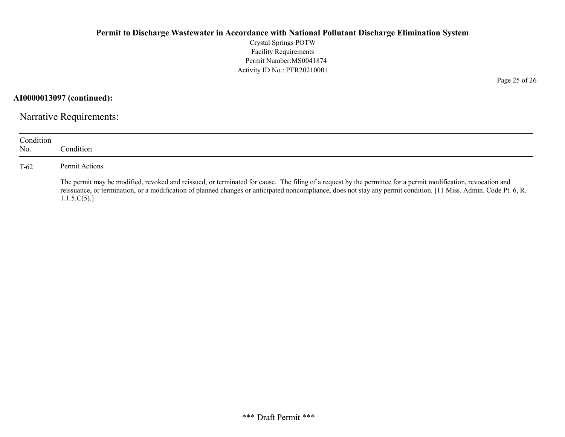Crystal Springs POTW Facility Requirements Permit Number:MS0041874 Activity ID No.: PER20210001

AI0000013097 (continued):

Narrative Requirements:

| Condition<br>No. | Condition.                                                                                                                                                                                                                                                                                                                                         |
|------------------|----------------------------------------------------------------------------------------------------------------------------------------------------------------------------------------------------------------------------------------------------------------------------------------------------------------------------------------------------|
| $T-62$           | Permit Actions                                                                                                                                                                                                                                                                                                                                     |
|                  | The permit may be modified, revoked and reissued, or terminated for cause. The filing of a request by the permittee for a permit modification, revocation and<br>reissuance, or termination, or a modification of planned changes or anticipated noncompliance, does not stay any permit condition. [11 Miss. Admin. Code Pt. 6, R.<br>1.1.5.C(5). |

Page 25 of 26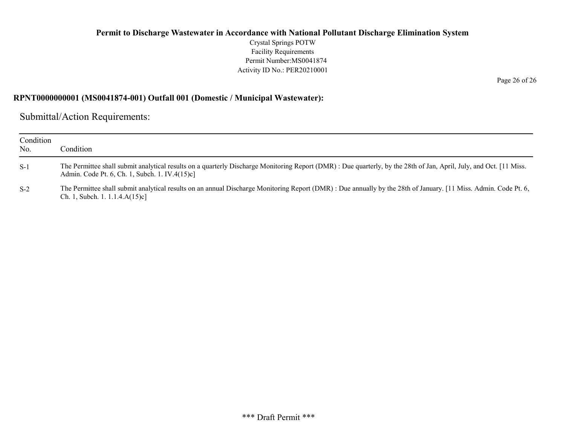Crystal Springs POTW Facility Requirements Permit Number:MS0041874 Activity ID No.: PER20210001

RPNT0000000001 (MS0041874-001) Outfall 001 (Domestic / Municipal Wastewater):

Submittal/Action Requirements:

| Condition<br>No. | Condition                                                                                                                                                                                                            |
|------------------|----------------------------------------------------------------------------------------------------------------------------------------------------------------------------------------------------------------------|
| $S-1$            | The Permittee shall submit analytical results on a quarterly Discharge Monitoring Report (DMR): Due quarterly, by the 28th of Jan, April, July, and Oct. [11 Miss.<br>Admin. Code Pt. 6, Ch. 1, Subch. 1. IV.4(15)c] |
| $S-2$            | The Permittee shall submit analytical results on an annual Discharge Monitoring Report (DMR) : Due annually by the 28th of January. [11 Miss. Admin. Code Pt. 6,<br>Ch. 1, Subch. 1. $1.1.4.A(15)c$ ]                |

Page 26 of 26